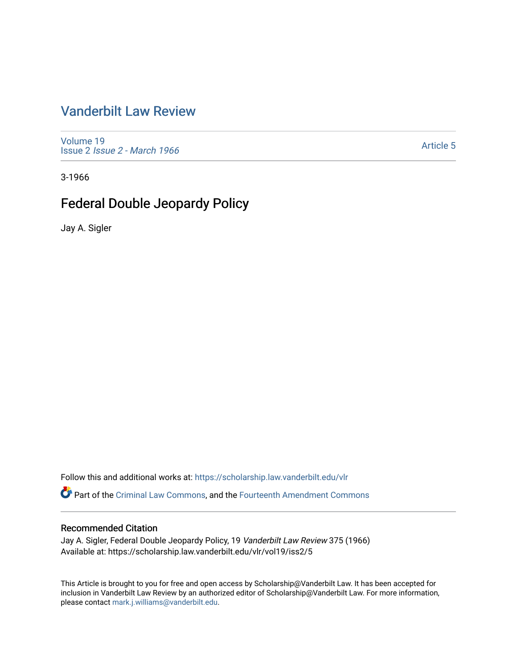## [Vanderbilt Law Review](https://scholarship.law.vanderbilt.edu/vlr)

[Volume 19](https://scholarship.law.vanderbilt.edu/vlr/vol19) Issue 2 [Issue 2 - March 1966](https://scholarship.law.vanderbilt.edu/vlr/vol19/iss2) 

[Article 5](https://scholarship.law.vanderbilt.edu/vlr/vol19/iss2/5) 

3-1966

# Federal Double Jeopardy Policy

Jay A. Sigler

Follow this and additional works at: [https://scholarship.law.vanderbilt.edu/vlr](https://scholarship.law.vanderbilt.edu/vlr?utm_source=scholarship.law.vanderbilt.edu%2Fvlr%2Fvol19%2Fiss2%2F5&utm_medium=PDF&utm_campaign=PDFCoverPages)

**Part of the [Criminal Law Commons,](http://network.bepress.com/hgg/discipline/912?utm_source=scholarship.law.vanderbilt.edu%2Fvlr%2Fvol19%2Fiss2%2F5&utm_medium=PDF&utm_campaign=PDFCoverPages) and the Fourteenth Amendment Commons** 

#### Recommended Citation

Jay A. Sigler, Federal Double Jeopardy Policy, 19 Vanderbilt Law Review 375 (1966) Available at: https://scholarship.law.vanderbilt.edu/vlr/vol19/iss2/5

This Article is brought to you for free and open access by Scholarship@Vanderbilt Law. It has been accepted for inclusion in Vanderbilt Law Review by an authorized editor of Scholarship@Vanderbilt Law. For more information, please contact [mark.j.williams@vanderbilt.edu.](mailto:mark.j.williams@vanderbilt.edu)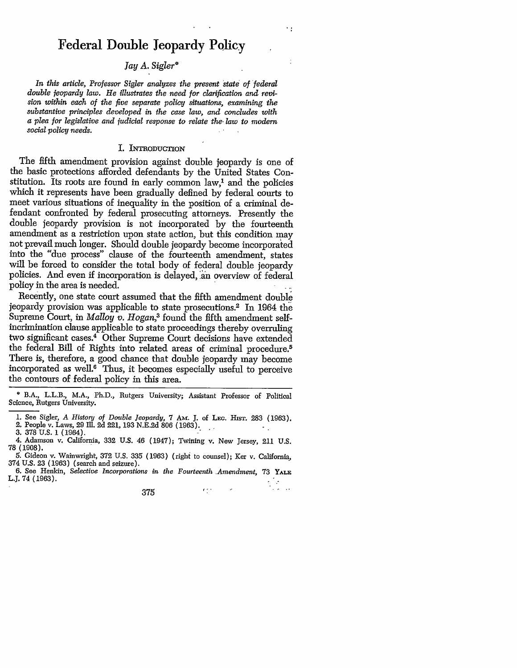## Federal Double Jeopardy **Policy**

### *Jay A. Sigler\**

*In this article, Professor Sigler analyzes the present state of federal double jeopardy law. He illustrates the need for clarification and revision within each of the five separate policy situations, examining the substantive principles developed in the case law, and concludes with a plea for legislative and judicial response to relate the. law to modern social policy needs.*

#### I. **INTODUCrON**

The fifth amendment provision against double jeopardy is one of the basic protections afforded defendants by the United States Constitution. Its roots are found in early common law,<sup>1</sup> and the policies which it represents have been gradually defined by federal courts to meet various situations of inequality in the position of a criminal defendant confronted by federal prosecuting attorneys. Presently the double jeopardy provision is not incorporated by the fourteenth amendment as a restriction upon state action, but this condition may not prevail much longer. Should double jeopardy become incorporated into the "due process" clause of the fourteenth amendment, states will be forced to consider the total body of federal double jeopardy policies. And even if incorporation is delayed, an overview of federal policy in the area is needed.

Recently, one state court assumed that the fifth amendment double jeopardy provision was applicable to state prosecutions 2 In 1964 the Supreme Court, in *Malloy v. Hogan,3* found the fifth amendment selfincrimination clause applicable to state proceedings thereby overruling two significant cases.4 Other Supreme Court decisions have extended the federal Bill of Rights into related areas of criminal procedure.<sup>5</sup> There is, therefore, a good chance that double jeopardy may become incorporated as well.<sup>6</sup> Thus, it becomes especially useful to perceive the contours of federal policy in this area.

**-** B.A., L.L.B., M.A., Ph.D., Rutgers University; Assistant Professor of Political Science, Rutgers University.

**1.** See Sigler, *A History of Double Jeopardy,* 7 Am. J. of LEG. HisT. 283 (1963).

2. People v. Laws, 29 Ill. 2d 221, 193 N.E.2d 806 (1963).

**3. 378 U.S. 1** (1964).

4. Adamson v. California, 332 U.S. 46 (1947); Twining v. New Jersey, 211 U.S. 78 (1908).

**5.** Gideon v. Wainwright, 372 U.S. **335** (1963) (right to counsel); Ker v. California, 374 U.S. 23 (1963) (search and seizure).

6. See Henkin, *Selective Incorporations in the Fourteenth Amendment,* 73 YALE L.J. 74 **(1963).** $\mathcal{L}$ 

 $\epsilon$ 

375

 $\ddot{\phantom{0}}$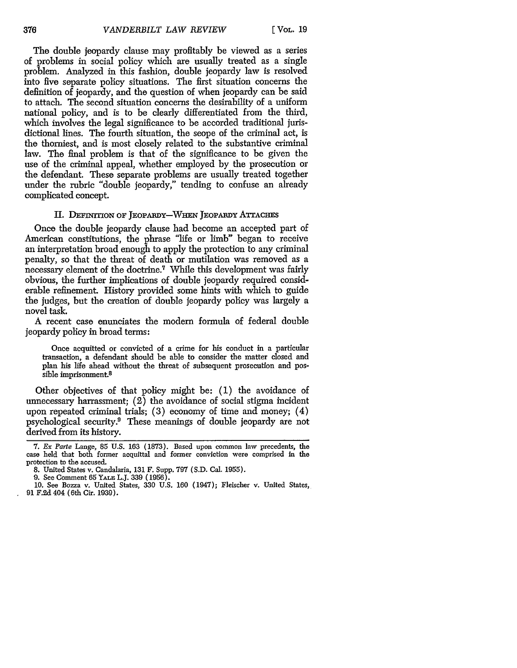The double jeopardy clause may profitably be viewed as a series of problems in social policy which are usually treated as a single problem. Analyzed in this fashion, double jeopardy law is resolved into five separate policy situations. The first situation concerns the definition of jeopardy, and the question of when jeopardy can be said to attach. The second situation concerns the desirability of a uniform national policy, and is to be clearly differentiated from the third, which involves the legal significance to be accorded traditional jurisdictional lines. The fourth situation, the scope of the criminal act, is the thorniest, and is most closely related to the substantive criminal law. The final problem is that of the significance to be given the use of the criminal appeal, whether employed by the prosecution or the defendant. These separate problems are usually treated together under the rubric "double jeopardy," tending to confuse an already complicated concept.

#### **II. DEFINITION OF JEOPARDY-WHEN JEOPARDY ATTACHES**

Once the double jeopardy clause had become an accepted part of American constitutions, the phrase "life or limb" began to receive an interpretation broad enough to apply the protection to any criminal penalty, so that the threat of death or mutilation was removed as a necessary element of the doctrine.7 While this development was fairly obvious, the further implications of double jeopardy required considerable refinement. History provided some hints with which to guide the judges, but the creation of double jeopardy policy was largely a novel task.

A recent case enunciates the modern formula of federal double jeopardy policy in broad terms:

Once acquitted or convicted of a crime for his conduct in a particular transaction, a defendant should be able to consider the matter closed and plan his life ahead without the threat of subsequent prosecution and possible imprisonment. <sup>8</sup>

Other objectives of that policy might be: (1) the avoidance of unnecessary harrassment; (2) the avoidance of social stigma incident upon repeated criminal trials; (3) economy of time and money; (4) psychological security.<sup>9</sup> These meanings of double jeopardy are not derived from its history.

<sup>7.</sup> *Ex Parte* Lange, 85 U.S. 163 (1873). Based upon common law precedents, the case held that both former acquittal and former conviction were comprised in the protection to the accused.

<sup>8.</sup> United States v. Candalaria, 131 F. Supp. 797 (S.D. Cal. 1955).

<sup>9.</sup> See Comment 65 **YALE** L.J. 339 (1956).

<sup>10.</sup> See Bozza v. United States, 330 U.S. 160 (1947); Fleischer v. United States, 91 F.2d 404 (6th Cir. 1939).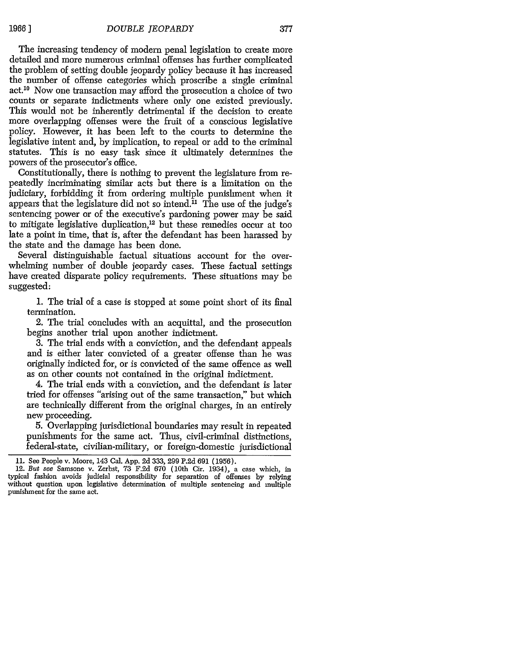The increasing tendency of modem penal legislation to create more detailed and more numerous criminal offenses has further complicated the problem of setting double jeopardy policy because it has increased the number of offense categories which proscribe a single criminal act.10 Now one transaction may afford the prosecution a choice of two counts or separate indictments where only one existed previously. This would not be inherently detrimental if the decision to create more overlapping offenses were the fruit of a conscious legislative policy. However, it has been left to the courts to determine the legislative intent and, by implication, to repeal or add to the criminal statutes. This is no easy task since it ultimately determines the powers of the prosecutor's office.

Constitutionally, there is nothing to prevent the legislature from repeatedly incriminating similar acts but there is a limitation on the judiciary, forbidding it from ordering multiple punishment when it appears that the legislature did not so intend. $\overline{1}$ <sup>1</sup> The use of the judge's sentencing power or of the executive's pardoning power may be said to mitigate legislative duplication,<sup>12</sup> but these remedies occur at too late a point in time, that is, after the defendant has been harassed by the state and the damage has been done.

Several distinguishable factual situations account for the overwhelming number of double jeopardy cases. These factual settings have created disparate policy requirements. These situations may be suggested:

1. The trial of a case is stopped at some point short of its final termination.

2. The trial concludes with an acquittal, and the prosecution begins another trial upon another indictment.

3. The trial ends with a conviction, and the defendant appeals and is either later convicted of a greater offense than he was originally indicted for, or is convicted of the same offence as well as on other counts not contained in the original indictment.

4. The trial ends with a conviction, and the defendant is later tried for offenses "arising out of the same transaction," but which are technically different from the original charges, in an entirely new proceeding.

5. Overlapping jurisdictional boundaries may result in repeated punishments for the same act. Thus, civil-criminal distinctions, federal-state, civilian-military, or foreign-domestic jurisdictional

<sup>11.</sup> See People v. Moore, 143 Cal. App. 2d 333, 299 P.2d 691 (1956).

<sup>12.</sup> But see Samsone v. Zerbst, 73 F.2d 670 (10th Cir. 1934), a case which, in typical fashion avoids judicial responsibility for separation of offenses by relying without question upon legislative determination of multiple sentencing and multiple punishment for the same act.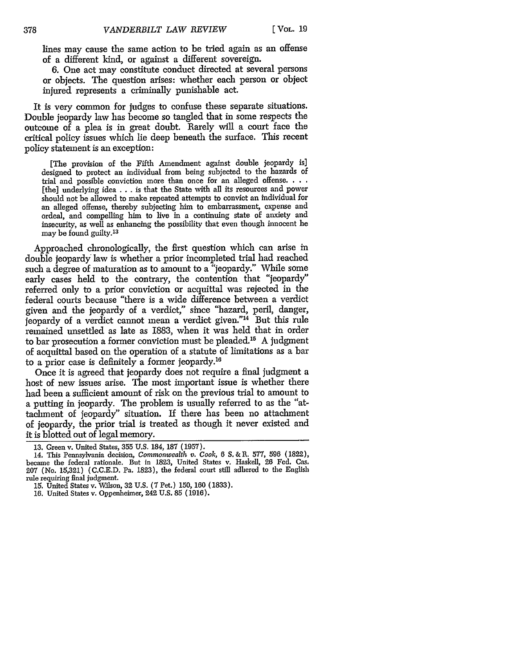lines may cause the same action to be tried again as an offense of a different kind, or against a different sovereign.

6. One act may constitute conduct directed at several persons or objects. The question arises: whether each person or object injured represents a criminally punishable act.

It is very common for judges to confuse these separate situations. Double jeopardy law has become so tangled that in some respects the outcome of a plea is in great doubt. Rarely will a court face the critical policy issues which lie deep beneath the surface. This recent policy statement is an exception:

[The provision of the Fifth Amendment against double jeopardy is] designed to protect an individual from being subjected to the hazards of trial and possible conviction more than once for an alleged offense. . . . [the] underlying idea **...** is that the State with all its resources and power should not be allowed to make repeated attempts to convict an individual for an alleged offense, thereby subjecting him to embarrassment, expense and ordeal, and compelling him to live in a continuing state of anxiety and insecurity, as well as enhancing the possibility that even though innocent he may be found guilty.13

Approached chronologically, the first question which can arise in double jeopardy law is whether a prior incompleted trial had reached such a degree of maturation as to amount to a "jeopardy." While some early cases held to the contrary, the contention that "jeopardy" referred only to a prior conviction or acquittal was rejected in the federal courts because "there is a wide difference between a verdict given and the jeopardy of a verdict," since "hazard, peril, danger, jeopardy of a verdict cannot mean a verdict given."14 But this rule remained unsettled as late as 1883, when it was held that in order to bar prosecution a former conviction must be pleaded.'5 A judgment of acquittal based on the operation of a statute of limitations as a bar to a prior case is definitely a former jeopardy.<sup>16</sup>

Once it is agreed that jeopardy does not require a final judgment a host of new issues arise. The most important issue is whether there had been a sufficient amount of risk on the previous trial to amount to a putting in jeopardy. The problem is usually referred to as the "attachment of jeopardy" situation. If there has been no attachment of jeopardy, the prior trial is treated as though it never existed and it is blotted out of legal memory.

**<sup>13.</sup>** Green v. United States, 355 U.S. 184, 187 (1957).

<sup>14.</sup> This Pennsylvania decision, *Commonwealth v. Cook,* 6 **S. &** R. 577, **596** (1822), became the federal rationale. But in 1823, United States v. Haskell, **26** Fed. Cas. **207** (No. **15,321)** (C.C.E.D. Pa. 1823), the federal court still adhered to the English rule requiring final judgment.

**<sup>15.</sup>** United States v. Wilson, **32** U.S. (7 Pet.) 150, 160 (1833).

<sup>16.</sup> United States v. Oppenheimer, 242 U.S. 85 (1916).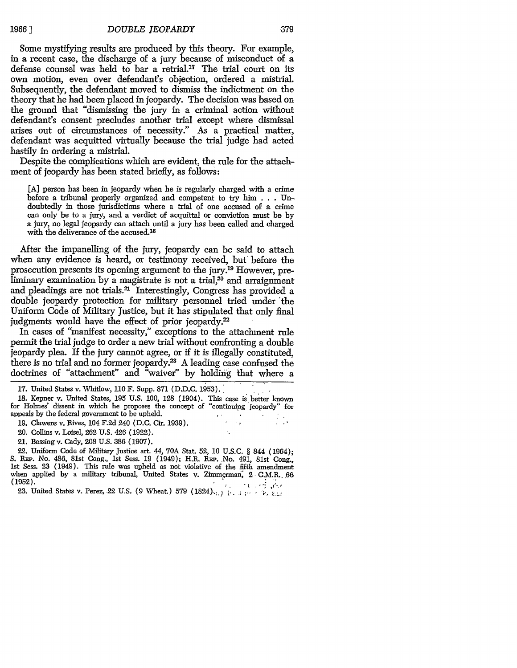Some mystifying results are produced by this theory. For example, in a recent case, the discharge of a jury because of misconduct of a defense counsel was held to bar a retrial.<sup>17</sup> The trial court on its own motion, even over defendant's objection, ordered a mistrial. Subsequently, the defendant moved to dismiss the indictment on the theory that he had been placed in jeopardy. The decision was based on the ground that "dismissing the jury in a criminal action without defendant's consent precludes another trial except where dismissal arises out of circumstances of necessity." As a practical matter, defendant was acquitted virtually because the trial judge had acted hastily in ordering a mistrial.

Despite the complications which are evident, the rule for the attachment of jeopardy has been stated briefly, as follows:

[A] person has been in jeopardy when he is regularly charged with a crime before a tribunal properly organized and competent to try him . . . Undoubtedly in those jurisdictions where a trial of one accused of a crime can only be to a jury, and a verdict of acquittal or conviction must be by a jury, no legal jeopardy can attach until a jury has been called and charged with the deliverance of the accused.<sup>18</sup>

After the impanelling of the jury, jeopardy can be said to attach when any evidence is heard, or testimony received, but before the prosecution presents its opening argument to the jury.19 However, preliminary examination by a magistrate is not a trial,<sup>20</sup> and arraignment and pleadings are not trials.<sup>21</sup> Interestingly, Congress has provided a double jeopardy protection for military personnel tried under "the Uniform Code of Military Justice, but it has stipulated that only final judgments would have the effect of prior jeopardy.<sup>22</sup>

In cases of "manifest necessity," exceptions to the attachment rule permit the trial judge to order a new trial without confronting a double jeopardy plea. If the jury cannot agree, or if it is illegally constituted, there is no trial and no former jeopardy.23 A leading case confused the doctrines of "attachment" and "waiver" by holding that where a

18. Kepner v. United States, 195 U.S. 100, 128 (1904). This case is better known for Holmes' dissent in which he proposes the concept of "continuing jeopardy" for appeals by the federal government to be upheld.  $\rightarrow$   $_{\star}$ 

**19.** Clawens v. Rives, 104 F.2d 240 (D.C. Cir. 1939).

20. Collins v. Loisel, 262 U.S. 426 (1922).

21. Bassing v. Cady, **208** U.S. **386** (1907).

22. Uniform Code of Military Justice art. 44, 70A Stat. 52, 10 U.S.C. § 844 (1964); S. REP. No. 486, 81st Cong., 1st Sess. 19 (1949); H.R. REP. No. 491, 81st Cong., 1st Sess. **23** (1949). This rule was upheld as not violative of the fifth amendment when applied by a military tribunal, United States v. Zimmerman,  $2 \cdot C.M.R., 66$  (1952). (1952). "

**23.** United States v. Perez, 22 U.S. (9 Wheat.) 579 (1824),...

<sup>17.</sup> United States v. Whitlow, 110 F. Supp. 871 (D.D.C. 1953).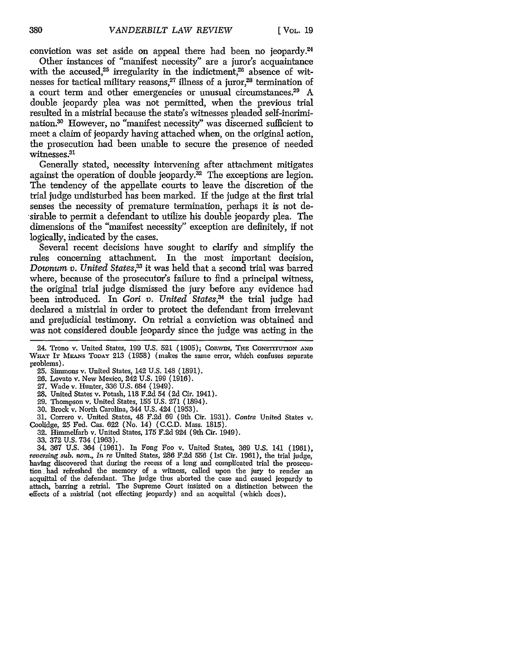conviction was set aside on appeal there had been no jeopardy.<sup>24</sup> Other instances of "manifest necessity" are a juror's acquaintance with the accused,<sup>25</sup> irregularity in the indictment,<sup>26</sup> absence of witnesses for tactical military reasons,<sup>27</sup> illness of a juror,<sup>28</sup> termination of a court term and other emergencies or unusual circumstances.<sup>29</sup> A double jeopardy plea was not permitted, when the previous trial resulted in a mistrial because the state's witnesses pleaded self-incrimination.<sup>30</sup> However, no "manifest necessity" was discerned sufficient to meet a claim of jeopardy having attached when, on the original action, the prosecution had been unable to secure the presence of needed witnesses.<sup>31</sup>

Generally stated, necessity intervening after attachment mitigates against the operation of double jeopardy. $32$  The exceptions are legion. The tendency of the appellate courts to leave the discretion of the trial judge undisturbed has been marked. If the judge at the first trial senses the necessity of premature termination, perhaps it is not desirable to permit a defendant to utilize his double jeopardy plea. The dimensions of the "manifest necessity" exception are definitely, if not logically, indicated by the cases.

Several recent decisions have sought to clarify and simplify the rules concerning attachment. In the most important decision, *Downum v. United States,3* it was held that a second trial was barred where, because of the prosecutor's failure to find a principal witness, the original trial judge dismissed the jury before any evidence had been introduced. In *Gori v. United States*,<sup>34</sup> the trial judge had declared a mistrial in order to protect the defendant from irrelevant and prejudicial testimony. On retrial a conviction was obtained and was not considered double jeopardy since the judge was acting in the

- 26. Lovato v. New Mexico, 242 U.S. 199 (1916).
- 27. Wade v. Hunter, 336 U.S. 684 (1949).
- 28. United States v. Potash, 118 F.2d 54 (2d Cir. 1941).
- 29. Thompson v. United States, 155 U.S. 271 (1894).
- **30.** Brock v. North Carolina, 344 U.S. 424 (1953).

31. Correro v. United States, 48 F.2d 69 (9th Cir. 1931). *Contra* United States v. Coolidge, 25 Fed. Cas. 622 (No. 14) (C.C.D. Mass. 1815).

- 32. Himmelfarb v. United States, 175 F.2d 924 (9th Cir. 1949).
- 33. 372 U.S. 734 (1963).

34. 367 U.S. 364 (1961). In Fong Foo v. United States, **369** U.S. 141 (1961), *reversing sub. nom., In re* United States, 286 F.2d 556 (1st Cir. 1961), the trial judge, having discovered that during the recess of a long and complicated trial the prosecution had refreshed the memory of a witness, called upon the jury to render an acquittal of the defendant. The judge thus aborted the case and caused jeopardy to attach, barring a retrial. The Supreme Court insisted on a distinction between the effects of a mistrial (not effecting jeopardy) and an acquittal (which does).

<sup>24.</sup> Trono v. United States, 199 U.S. 521 (1905); Corwin, The Constitution and WHAT **IT** MF-xs TODAY 213 (1958) (makes the same error, which confuses separate problems).

<sup>25.</sup> Simmons v. United States, 142 U.S. 148 (1891).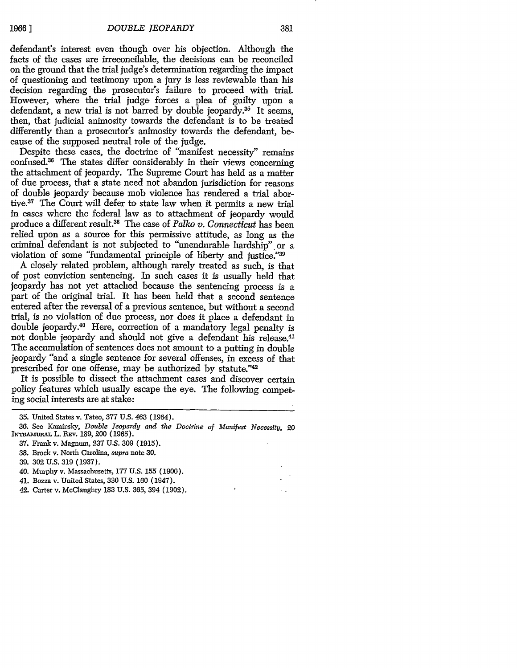defendant's interest even though over his objection. Although the facts of the cases are irreconcilable, the decisions can be reconciled on the ground that the trial judge's determination regarding the impact of questioning and testimony upon a jury is less reviewable than his decision regarding the prosecutor's failure to proceed with trial. However, where the trial judge forces a plea of guilty upon a defendant, a new trial is not barred by double jeopardy. $35$  It seems, then, that judicial animosity towards the defendant is to be treated differently than a prosecutor's animosity towards the defendant, because of the supposed neutral tole of the judge.

Despite these cases, the doctrine of "manifest necessity" remains confused.<sup>36</sup> The states differ considerably in their views concerning the attachment of jeopardy. The Supreme Court has held as a matter of due process, that a state need not abandon jurisdiction for reasons of double jeopardy because mob violence has rendered a trial abortive.<sup>37</sup> The Court will defer to state law when it permits a new trial in cases where the federal law as to attachment of jeopardy would produce a different result.8 The case of *Palko v. Connecticut* has been relied upon as a source for this permissive attitude, as long as the criminal defendant is not subjected to "unendurable hardship" or a violation of some "fundamental principle of liberty and justice."39

A closely related problem, although rarely treated as such, is that of post conviction sentencing. In such cases it is usually held that jeopardy has not yet attached because the sentencing process is a part of the original trial. It has been held that a second sentence entered after the reversal of a previous sentence, but without a second trial, is no violation of due process, nor does it place a defendant in double jeopardy.40 Here, correction of a mandatory legal penalty is not double jeopardy and should not give a defendant his release.<sup>41</sup> The accumulation of sentences does not amount to a putting in double jeopardy "and a single sentence for several offenses, in excess of that prescribed for one offense, may be authorized by statute."42

It is possible to dissect the attachment cases and discover certain policy features which usually escape the eye. The following competing social interests are at stake:

- 36. See Kaminsky, *Double Jeopardy and the Doctrine of Manifest Necessity, 20* **INTnAmAL** L. **REv.** 189, 200 (1965).
	- 37. Frank v. Magnum, 237 U.S. 309 (1915).
	- 38. Brock v. North Carolina, *supra* note 30.
	- 39. 302 U.S. 319 (1937).
	- 40. Murphy v. Massachusetts, 177 U.S. 155 (1900).
	- 41. Bozza v. United States, 330 U.S. 160 (1947).
	- 42. Carter v. McClaughry 183 U.S. 365, 394 (1902).

<sup>35.</sup> United States v. Tateo, 377 U.S. 463 (1964).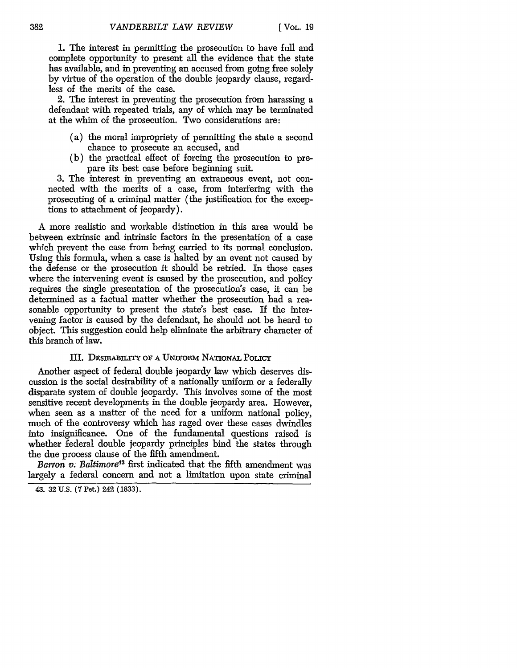1. The interest in permitting the prosecution to have full and complete opportunity to present all the evidence that the state has available, and in preventing an accused from going free solely by virtue of the operation of the double jeopardy clause, regardless of the merits of the case.

2. The interest in preventing the prosecution from harassing a defendant with repeated trials, any of which may be terminated at the whim of the prosecution. Two considerations are:

- (a) the moral impropriety of permitting the state a second chance to prosecute an accused, and
- (b) the practical effect of forcing the prosecution to prepare its best case before beginning suit.

3. The interest in preventing an extraneous event, not connected with the merits of a case, from interfering with the prosecuting of a criminal matter (the justification for the exceptions to attachment of jeopardy).

A more realistic and workable distinction in this area would be between extrinsic and intrinsic factors in the presentation of a case which prevent the case from being carried to its normal conclusion. Using this formula, when a case is halted by an event not caused by the defense or the prosecution it should be retried. In those cases where the intervening event is caused by the prosecution, and policy requires the single presentation of the prosecution's case, it can be determined as a factual matter whether the prosecution had a reasonable opportunity to present the state's best case. If the intervening factor is caused by the defendant, he should not be heard to object. This suggestion could help eliminate the arbitrary character of this branch of law.

#### **III. DESIRABILITY OF A UNIFORM NATIONAL POLICY**

Another aspect of federal double jeopardy law which deserves discussion is the social desirability of a nationally uniform or a federally disparate system of double jeopardy. This involves some of the most sensitive recent developments in the double jeopardy area. However, when seen as a matter of the need for a uniform national policy, much of the controversy which has raged over these cases dwindles into insignificance. One of the fundamental questions raised is whether federal double jeopardy principles bind the states through the due process clause of the fifth amendment.

*Barron v. Baltimore43* first indicated that the fifth amendment was largely a federal concern and not a limitation upon state criminal

<sup>43.</sup> **32 U.S. (7** Pet.) 242 **(1833).**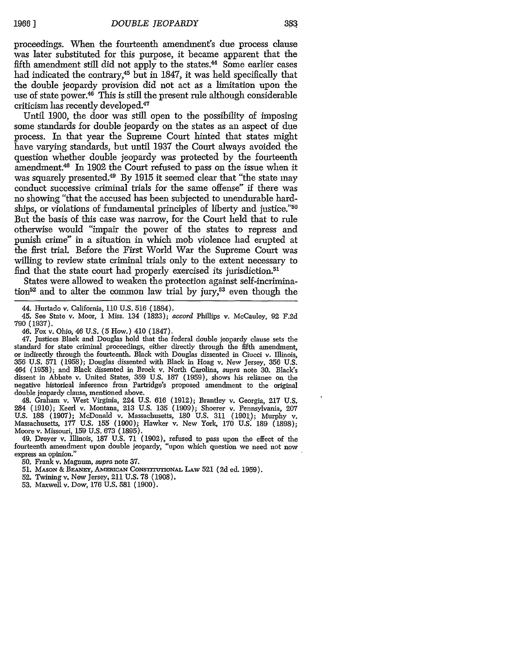proceedings. When the fourteenth amendment's due process clause was later substituted for this purpose, it became apparent that the fifth amendment still did not apply to the states.<sup>44</sup> Some earlier cases had indicated the contrary,<sup>45</sup> but in 1847, it was held specifically that the double jeopardy provision did not act as a limitation upon the use of state power. $^{46}$  This is still the present rule although considerable criticism has recently developed.47

Until 1900, the door was still open to the possibility of imposing some standards for double jeopardy on the states as an aspect of due process. In that year the Supreme Court hinted that states might have varying standards, but until 1937 the Court always avoided the question whether double jeopardy was protected by the fourteenth amendment.48 In 1902 the Court refused to pass on the issue when it was squarely presented.<sup>49</sup> By 1915 it seemed clear that "the state may conduct successive criminal trials for the same offense" if there was no showing "that the accused has been subjected to unendurable hardships, or violations of fundamental principles of liberty and justice."50 But the basis of this case was narrow, for the Court held that to rule otherwise would "impair the power of the states to repress and punish crime" in a situation in which mob violence had erupted at the first trial. Before the First World War the Supreme Court was willing to review state criminal trials only to the extent necessary to find that the state court had properly exercised its jurisdiction.<sup>51</sup>

States were allowed to weaken the protection against self-incrimination<sup>52</sup> and to alter the common law trial by jury,<sup>53</sup> even though the

46. Fox v. Ohio, 46 U.S. (5 How.) 410 (1847).

47. Justices Black and Douglas hold that the federal double jeopardy clause sets the standard for state criminal proceedings, either directly through the fifth amendment, or indirectly through the fourteenth. Black with Douglas dissented in Ciucci v. Illinois, 356 U.S. 571 (1958); Douglas dissented with Black in Hoag v. New Jersey, 356 U.S. 464 (1958); and Black dissented in Brock v. North Carolina, supra note 30. Black's dissent in Abbate v. United States, 359 U.S. 187 (1959), shows his reliance on the negative historical inference from Partridge's proposed amendment to the original double jeopardy clause, mentioned above.

48. Graham v. West Virginia, 224 U.S. 616 (1912); Brantley v. Georgia, 217 U.S. 284 (1910); Keerl v. Montana, 213 U.S. 135 (1909); Shoerer v. Pennsylvania, 207 U.S. 188 (1907); McDonald v. Massachusetts, 180 U.S. 311 **(1901);** Murphy v. Massachusetts, 177 U.S. 155 (1900); Hawker v. New York, 170 **U.S** 189 (1898); Moore v. Missouri, 159 U.S. 673 (1895).

49. Dreyer v. Illinois, 187 U.S. 71 (1902), refused to pass upon the effect of the fourteenth amendment upon double jeopardy, "upon which question we need not now express an opinion.'

- 51. MASON & BEANEY, AMERICAN CONSTITUTIONAL LAW 521 (2d ed. 1959).
- **52.** Twining v. New Jersey, 211 **U.S. 78 (1908).**
- **53.** Maxwell v. Dow, **176 U.S. 581 (1900).**

<sup>44.</sup> Hurtado v. California, 110 U.S. 516 (1884).

<sup>45.</sup> See State v. Moor, 1 Miss. 134 (1823); *accord* Phillips v. McCauley, 92 F.2d 790 (1937).

**<sup>50.</sup>** Frank v. Magnum, *supra* note **37.**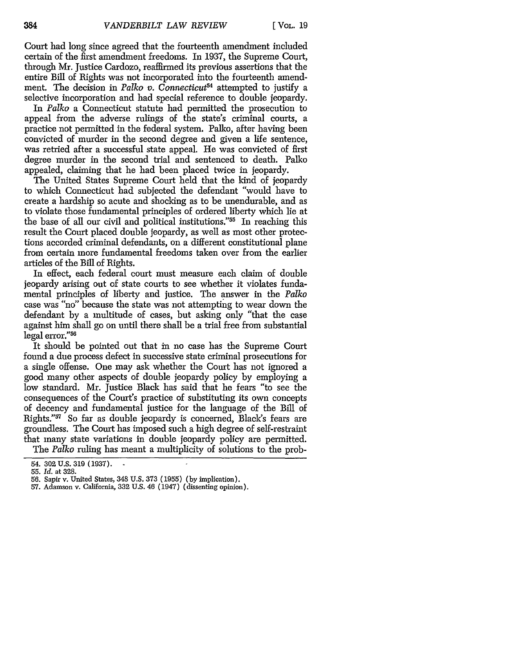Court had long since agreed that the fourteenth amendment included certain of the first amendment freedoms. In 1937, the Supreme Court, through Mr. Justice Cardozo, reaffirmed its previous assertions that the entire Bill of Rights was not incorporated into the fourteenth amendment. The decision in *Palko v. Connecticut54* attempted to justify a selective incorporation and had special reference to double jeopardy.

In *Palko* a Connecticut statute had permitted the prosecution to appeal from the adverse rulings of the state's criminal courts, a practice not permitted in the federal system. Palko, after having been convicted of murder in the second degree and given a life sentence, was retried after a successful state appeal. He was convicted of first degree murder in the second trial and sentenced to death. Palko appealed, claiming that he had been placed twice in jeopardy.

The United States Supreme Court held that the kind of jeopardy to which Connecticut had subjected the defendant "would have to create a hardship so acute and shocking as to be unendurable, and as to violate those fundamental principles of ordered liberty which lie at the base of all our civil and political institutions."55 In reaching this result the Court placed double jeopardy, as well as most other protections accorded criminal defendants, on a different constitutional plane from certain more fundamental freedoms taken over from the earlier articles of the Bill of Rights.

In effect, each federal court must measure each claim of double jeopardy arising out of state courts to see whether it violates fundamental principles of liberty and justice. The answer in the *Palko* case was "no" because the state was not attempting to wear down the defendant by a multitude of cases, but asking only "that the case against him shall go on until there shall be a trial free from substantial legal error."56

It should be pointed out that in no case has the Supreme Court found a due process defect in successive state criminal prosecutions for a single offense. One may ask whether the Court has not ignored a good many other aspects of double jeopardy policy by employing a low standard. Mr. Justice Black has said that he fears "to see the consequences of the Court's practice of substituting its own concepts of decency and fundamental justice for the language of the Bill of Rights."<sup>57</sup> So far as double jeopardy is concerned, Black's fears are groundless. The Court has imposed such a high degree of self-restraint that many state variations in double jeopardy policy are permitted. The *Palko* ruling has meant a multiplicity of solutions to the prob-

<sup>54. 302</sup> U.S. 319 (1937).

<sup>55.</sup> *Id.* at 328.

<sup>56.</sup> Sapir v. United States, 348 U.S. 373 (1955) (by implication).

<sup>57.</sup> Adamson v. California, 332 U.S. 46 (1947) (dissenting opinion).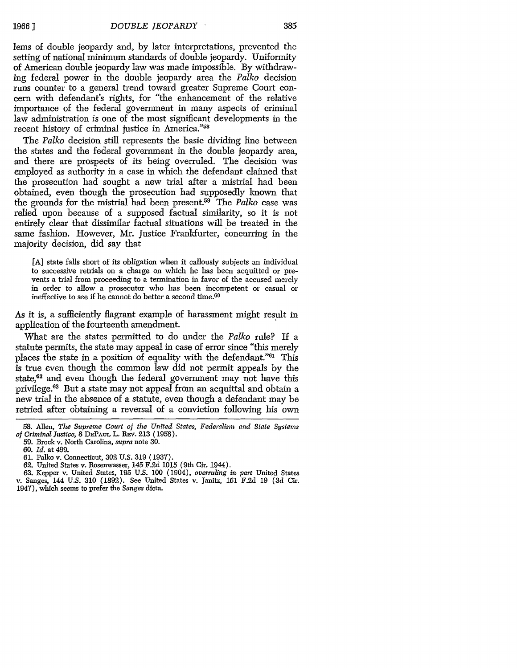lems of double jeopardy and, by later interpretations, prevented the setting of national minimum standards of double jeopardy. Uniformity of American double jeopardy law was made impossible. By withdrawing federal power in the double jeopardy area the *Palko* decision runs counter to a general trend toward greater Supreme Court concern with defendant's rights, for "the enhancement of the relative importance of the federal government in many aspects of criminal law administration is one of the most significant developments in the recent history of criminal justice in America."58

The *Palko* decision still represents the basic dividing line between the states and the federal government in the double jeopardy area, and there are prospects of its being overruled. The decision was employed as authority in a case in which the defendant claimed that the prosecution had sought a new trial after a mistrial had been obtained, even though the prosecution had supposedly known that the grounds for the mistrial had been present.59 The *Palko* case was relied upon because of a supposed factual similarity, so it is not entirely clear that dissimilar factual situations will be treated in the same fashion. However, Mr. Justice Frankfurter, concurring in the majority decision, did say that

[A] state falls short of its obligation when it callously subjects an individual to successive retrials on a charge on which he has been acquitted or prevents a trial from proceeding to a termination in favor of the accused merely in order to allow a prosecutor who has been incompetent or casual or ineffective to see if he cannot do better a second time.60

As it is, a sufficiently flagrant example of harassment might result in application of the fourteenth amendment.

What are the states permitted to do under the *Palko* rule? If a statute permits, the state may appeal in case of error since "this merely places the state in a position of equality with the defendant."61 This is true even though the common law did not permit appeals by the state,<sup>62</sup> and even though the federal government may not have this privilege.63 But a state may not appeal from an acquittal and obtain a new trial in the absence of a statute, even though a defendant may be retried after obtaining a reversal of a conviction following his own

- 61. Palko v. Connecticut, 302 U.S. 319 (1937).
- 62. United States v. Rosenwasser, 145 F.2d 1015 (9th Cir. 1944).

63. Kepper v. United States, 195 U.S. **100** (1904), *overruling in part* United States v. Sanges, 144 U.S. 310 (1892). See United States v. Janitz, 161 F.2d 19 (3d Cir. 1947), which seems to prefer the *Sanges* dicta.

<sup>58.</sup> Allen, *The Supreme Court of the United States, Federalism and State Systems of Criminal Justice,* 8 DEPAUL L. REV. 213 (1958).

<sup>59.</sup> Brock v. North Carolina, *supra* note 30.

<sup>60.</sup> *Id.* at 499.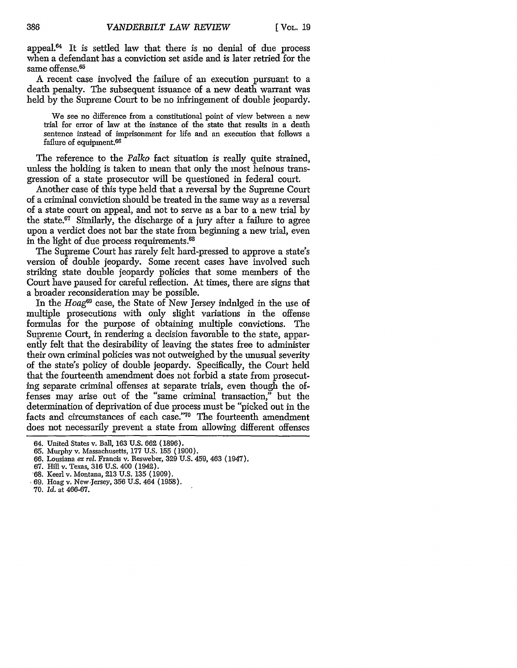**[** VOL. **19**

appeal. $64$  It is settled law that there is no denial of due process when a defendant has a conviction set aside and is later retried for the same offense.<sup>65</sup>

A recent case involved the failure of an execution pursuant to a death penalty. The subsequent issuance of a new death warrant was held by the Supreme Court to be no infringement of double jeopardy.

We see no difference from a constitutional point of view between a new trial for error of law at the instance of the state that results in a death sentence instead of imprisonment for life and an execution that follows a failure of equipment.<sup>66</sup>

The reference to the Palko fact situation is really quite strained, unless the holding is taken to mean that only the most heinous transgression of a state prosecutor will be questioned in federal court.

Another case of this type held that a reversal by the Supreme Court of a criminal conviction should be treated in the same way as a reversal of a state court on appeal, and not to serve as a bar to a new trial by the state.<sup>67</sup> Similarly, the discharge of a jury after a failure to agree upon a verdict does not bar the state from beginning a new trial, even in the light of due process requirements.<sup>68</sup>

The Supreme Court has rarely felt hard-pressed to approve a state's version of double jeopardy. Some recent cases have involved such striking state double jeopardy policies that some members of the Court have paused for careful reflection. At times, there are signs that a broader reconsideration may be possible.

In the *Hoag69* case, the State of New Jersey indulged in the use of multiple prosecutions with only slight variations in the offense formulas for the purpose of obtaining multiple convictions. The Supreme Court, in rendering a decision favorable to the state, apparently felt that the desirability of leaving the states free to administer their own criminal policies was not outweighed by the unusual severity of the state's policy of double jeopardy. Specifically, the Court held that the fourteenth amendment does not forbid a state from prosecuting separate criminal offenses at separate trials, even though the offenses may arise out of the "same criminal transaction," but the determination of deprivation of due process must be "picked out in the facts and circumstances of each case."70 The fourteenth amendment does not necessarily prevent a state from allowing different offenses

<sup>64.</sup> United States v. Ball, 163 U.S. 662 (1896).

<sup>65.</sup> Murphy v. Massachusetts, 177 U.S. 155 (1900).

<sup>66.</sup> Lousiana ex rel. Francis v. Resweber, 329 U.S. 459, 463 (1947).

<sup>67.</sup> Hill v. Texas, 316 U.S. 400 (1942).

<sup>&#</sup>x27;68. Keerl v. Montana, 213 U.S. 135 (1909).

<sup>169.</sup> Hoag v. New Jersey, 356 U.S. 464 (1958).

<sup>70.</sup> *Id.* at 466-67.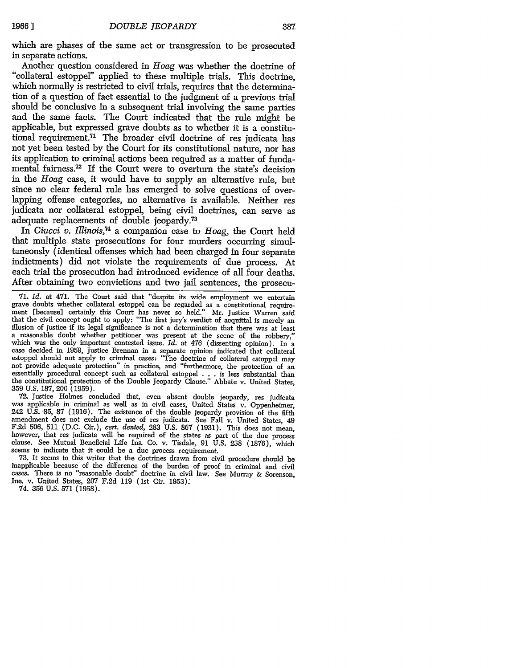which are phases of the same act or transgression to be prosecuted in separate actions.<br>Another question considered in Hoag was whether the doctrine of

"collateral estoppel" applied to these multiple trials. This doctrine, which normally is restricted to civil trials, requires that the determination of a question of fact essential to the judgment of a previous trial should be conclusive in a subsequent trial involving the same parties and the same facts. The Court indicated that the rule might be applicable, but expressed grave doubts as to whether it is a constitutional requirement.71 The broader civil doctrine of res judicata has not yet been tested by the Court for its constitutional nature, nor has its application to criminal actions been required as a matter of fundamental fairness.<sup>72</sup> If the Court were to overturn the state's decision in the *Hoag* case, it would have to supply an alternative rule, but since no clear federal rule has emerged to solve questions of overlapping offense categories, no alternative is available. Neither res judicata nor collateral estoppel, being civil doctrines, can serve as adequate replacements of double jeopardy.<sup>73</sup>

In *Ciucci v. Illinois,"4* a companion case to *Hoag,* the Court held that multiple state prosecutions for four murders occurring simultaneously  $\overline{\text{}}$  identical offenses which had been charged in four separate indictments) did not violate the requirements of due process. At each trial the prosecution had introduced evidence of all four deaths. After obtaining two convictions and two jail sentences, the prosecu-

72. Justice Holmes concluded that, even absent double jeopardy, res judicata was applicable in criminal as well as in civil cases, United States v. Oppenheimer, 242 U.S. 85, 87 (1916). The existence of the double jeopardy provision of the fifth amendment does not exclude the use of res judicata. See Fall v. United States, 49 F.2d 506, 511 (D.C. Cir.), *cert. denied,* 283 U.S. 867 (1931). This does not mean, however, that res judicata will be required of the states as part of the due process clause. See Mutual Beneficial Life Ins. Co. v. Tisdale, 91 U.S. 238 (1876), which scems to indicate that it could be a due process requir

73. It seems to this writer that the doctrines drawn from civil procedure should be inapplicable because of the difference of the burden of proof in criminal and civil cases. There is no "reasonable doubt" doctrine in civil law. See Murray & Sorenson, Inc. v. United States, 207 F.2d 119 (1st Cir. 1953).

74. 356 U.S. 571 (1958).

<sup>71.</sup> *Id.* at 471. The Court said that "despite its wide employment we entertain grave doubts whether collateral estoppel can be regarded as a constitutional requirement [because] certainly this Court has never so held." Mr. Justice Warren said that the civil concept ought to apply: "The first jury's verdict of acquittal is merely an illusion of justice if its legal significance is not a dctermination that there was at least<br>a reasonable doubt whether petitioner estoppel should not apply to criminal cases: "The doctrine of collateral estoppel may not provide adequate protection" in practice, and "furthermore, the protection of an essentially procedural concept such as collateral estoppel . . . is less substantial than the constitutional protection of the Double Jeopardy Clause." Abbate v. United States, 359 U.S. 187, 200 (1959).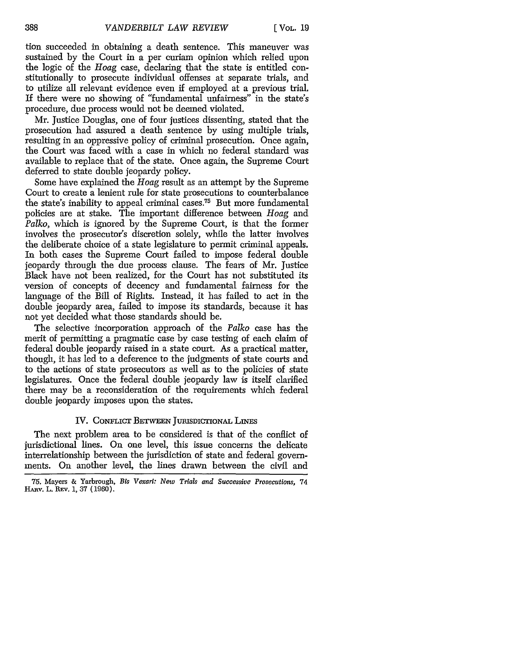tion succeeded in obtaining a death sentence. This maneuver was sustained by the Court in a per curiam opinion which relied upon the logic of the *Hoag* case, declaring that the state is entitled constitutionally to prosecute individual offenses at separate trials, and to utilize all relevant evidence even if employed at a previous trial. If there were no showing of "fundamental unfairness" in the state's procedure, due process would not be deemed violated.

Mr. Justice Douglas, one of four justices dissenting, stated that the prosecution had assured a death sentence by using multiple trials, resulting in an oppressive policy of criminal prosecution. Once again, the Court was faced with a case in which no federal standard was available to replace that of the state. Once again, the Supreme Court deferred to state double jeopardy policy.

Some have explained the *Hoag* result as an attempt by the Supreme Court to create a lenient rule for state prosecutions to counterbalance the state's inability to appeal criminal cases.75 But more fundamental policies are at stake. The important difference between *Hoag* and *Palko,* which is ignored by the Supreme Court, is that the former involves the prosecutor's discretion solely, while the latter involves the deliberate choice of a state legislature to permit criminal appeals. In both cases the Supreme Court failed to impose federal double jeopardy through the due process clause. The fears of Mr. Justice Black have not been realized, for the Court has not substituted its version of concepts of decency and fundamental fairness for the language of the Bill of Rights. Instead, it has failed to act in the double jeopardy area, failed to impose its standards, because it has not yet decided what those standards should be.

The selective incorporation approach of the *Palko* case has the merit of permitting a pragmatic case by case testing of each claim of federal double jeopardy raised in a state court. As a practical matter, though, it has led to a deference to the judgments of state courts and to the actions of state prosecutors as well as to the policies of state legislatures. Once the federal double jeopardy law is itself clarified there may be a reconsideration of the requirements which federal double jeopardy imposes upon the states.

#### IV. CONFLICT BETWEEN JURISDICTIONAL LINES

The next problem area to be considered is that of the conflict of jurisdictional lines. On one level, this issue concerns the delicate interrelationship between the jurisdiction of state and federal governments. On another level, the lines drawn between the civil and

**<sup>75.</sup>** Mayers **&** Yarbrough, *Bis Vexari: New Trials and Successive Prosecutions, 74* **HARv.** L. **REv. 1, 37 (1960).**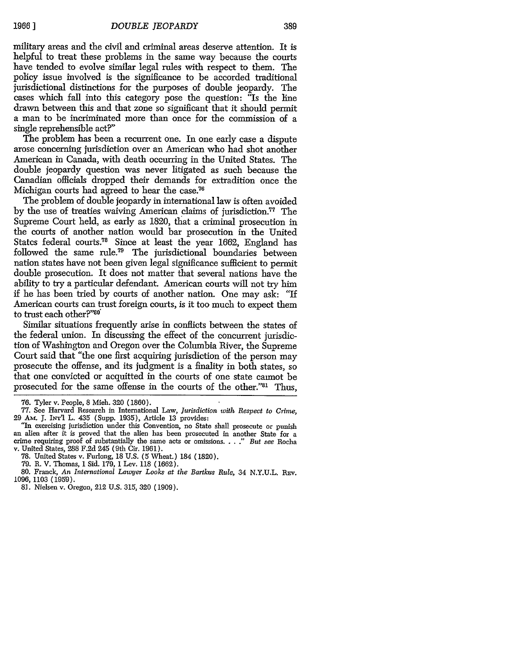military areas and the civil and criminal areas deserve attention. It is helpful to treat these problems in the same way because the courts have tended to evolve similar legal rules with respect to them. The policy issue involved is the significance to be accorded traditional jurisdictional distinctions for the purposes of double jeopardy. The cases which fall into this category pose the question: "Is the line drawn between this and that zone so significant that it should permit a man to be incriminated more than once for the commission of a single reprehensible act?"

The problem has been a recurrent one. In one early case a dispute arose concerning jurisdiction over an American who had shot another American in Canada, with death occurring in the United States. The double jeopardy question was never litigated as such because the Canadian officials dropped their demands for extradition once the Michigan courts had agreed to hear the case.76

The problem of double jeopardy in international law is often avoided by the use of treaties waiving American claims of jurisdiction.77 The Supreme Court held, as early as 1820, that a criminal prosecution in the courts of another nation would bar prosecution in the United States federal courts.78 Since at least the year 1662, England has followed the same rule.<sup>79</sup> The jurisdictional boundaries between nation states have not been given legal significance sufficient to permit double prosecution. It does not matter that several nations have the ability to try a particular defendant. American courts will not try him if he has been tried by courts of another nation. One may ask: "If American courts can trust foreign courts, is it too much to expect them to trust each other?"80

Similar situations frequently arise in conflicts between the states of the federal union. In discussing the effect of the concurrent jurisdiction of Washington and Oregon over the Columbia River, the Supreme Court said that "the one first acquiring jurisdiction of the person may prosecute the offense, and its judgment is a finality in both states, so that one convicted or acquitted in the courts of one state cannot be prosecuted for the same offense in the courts of the other."81 Thus,

80. Franck, *An International Lawyer Looks at the Bartkus Rule,* 34 N.Y.U.L. **REv.** 1096, 1103 (1959).

8]. Nielsen v. Oregon, 212 U.S. 315, 320 (1909).

<sup>76.</sup> Tyler v. People, 8 Mich. 320 (1860).

**<sup>77.</sup>** See Harvard Research in International Law, *Jurisdiction with Respect to Crime,* 29 AM. J. INT<sup>7</sup>l L. 435 (Supp. 1935), Article 13 provides:<br>"In exercising jurisdiction under this Convention, no State shall prosecute or punish

an alien after it is proved that the alien has been prosecuted in another State for a crime requiring proof of substantially the same acts or omissions. . . ." But see Rocha v. United States, 288 F.2d 245 (9th Cir. 1961).

<sup>78.</sup> United States v. Furlong, 18 U.S. (5 Wheat.) 184 (1820).

<sup>79.</sup> R. V. Thomas, **I** Sid. 179, 1 Lev. 118 (1662).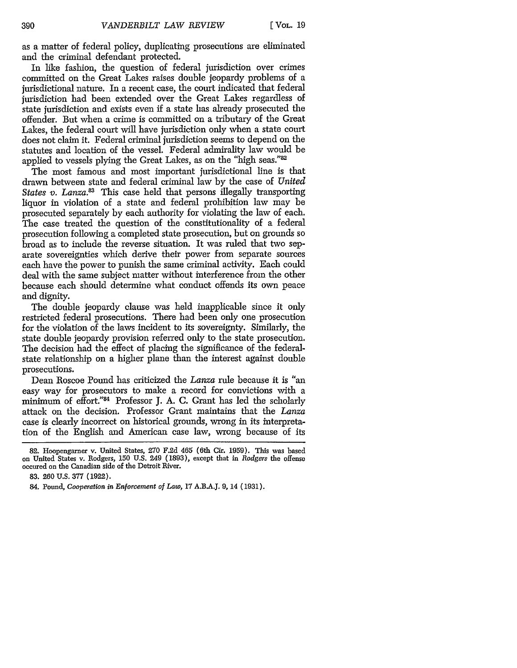**[** VOL. **19**

as a matter of federal policy, duplicating prosecutions are eliminated and the criminal defendant protected.

In like fashion, the question of federal jurisdiction over crimes committed on the Great Lakes raises double jeopardy problems of a jurisdictional nature. In a recent case, the court indicated that federal jurisdiction had been extended over the Great Lakes regardless of state jurisdiction and exists even if a state has already prosecuted the offender. But when a crime is committed on a tributary of the Great Lakes, the federal court will have jurisdiction only when a state court does not claim it. Federal criminal jurisdiction seems to depend on the statutes and location of the vessel. Federal admirality law would be applied to vessels plying the Great Lakes, as on the "high seas."82

The most famous and most important jurisdictional line is that drawn between state and federal criminal law by the case of *United States v. Lanza.83* This case held that persons illegally transporting liquor in violation of a state and federal prohibition law may be prosecuted separately by each authority for violating the law of each. The case treated the question of the constitutionality of a federal prosecution following a completed state prosecution, but on grounds so broad as to include the reverse situation. It was ruled that two separate sovereignties which derive their power from separate sources each have the power to punish the same criminal activity. Each could deal with the same subject matter without interference from the other because each should determine what conduct offends its own peace and dignity.

The double jeopardy clause was held inapplicable since it only restricted federal prosecutions. There had been only one prosecution for the violation of the laws incident to its sovereignty. Similarly, the state double jeopardy provision referred only to the state prosecution. The decision had the effect of placing the significance of the federalstate relationship on a higher plane than the interest against double prosecutions.

Dean Roscoe Pound has criticized the *Lanza* rule because it is "an easy way for prosecutors to make a record for convictions with a minimum of effort."<sup>84</sup> Professor J. A. C. Grant has led the scholarly attack on the decision. Professor Grant maintains that the *Lanza* case is clearly incorrect on historical grounds, wrong in its interpretation of the English and American case law, wrong because of its

<sup>82.</sup> Hoopengarner v. United States, 270 F.2d 465 (6th Cir. 1959). This was based on United States v. Rodgers, 150 U.S. 249 (1893), except that in *Rodgers* the offense occured on the Canadian side of the Detroit River.

<sup>83.</sup> **260** U.S. 377 (1922).

<sup>84.</sup> Pound, *Cooperation in Enforcement of Law,* 17 A.B.A.J. 9, 14 (1931).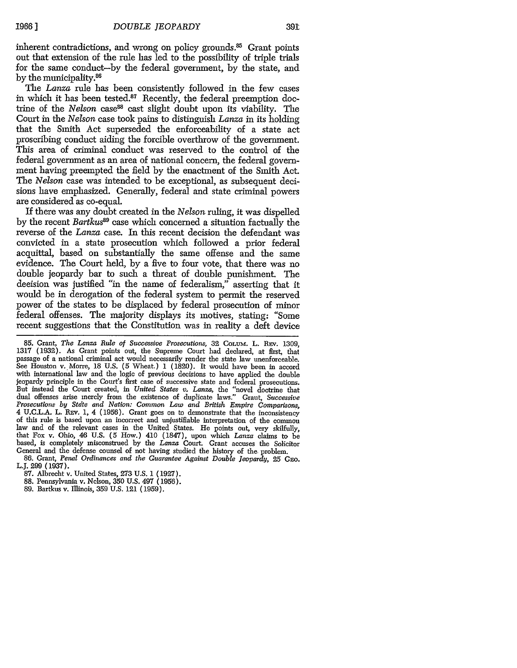inherent contradictions, and wrong on policy grounds. 85 Grant points out that extension of the rule has led to the possibility of triple trials for the same conduct-by the federal government, by the state, and by the municipality.<sup>86</sup>

The *Lanza* rule has been consistently followed in the few cases in which it has been tested.<sup>87</sup> Recently, the federal preemption doctrine of the *Nelson* case<sup>88</sup> cast slight doubt upon its viability. The Court in the *Nelson* case took pains to distinguish *Lanza* in its holding that the Smith Act superseded the enforceability of a state act proscribing conduct aiding the forcible overthrow of the government. This area of criminal conduct was reserved to the control of the federal government as an area of national concern, the federal government having preempted the field by the enactment of the Smith Act. The *Nelson* case was intended to be exceptional, as subsequent decisions have emphasized. Generally, federal and state criminal powers are considered as co-equal.

If there was any doubt created in the *Nelson* ruling, it was dispelled by the recent *Bartkus*<sup>89</sup> case which concerned a situation factually the reverse of the *Lanza* case. In this recent decision the defendant was convicted in a state prosecution which followed a prior federal acquittal, based on substantially the same offense and the same evidence. The Court held, by a five to four vote, that there was no double jeopardy bar to such a threat of double punishment. The decision was justified "in the name of federalism," asserting that it would be in derogation of the federal system to permit the reserved power of the states to be displaced by federal prosecution of minor federal offenses. The majority displays its motives, stating: "Some recent suggestions that the Constitution was in reality a deft device

85. Grant, *The Lanza Rule of Successive Prosecutions,* 32 CoLum. L. REv. 1309, 1317 (1932). As Grant points out, the Supreme Court had declared, at first, that passage of a national criminal act would necessarily render the state law unenforceable. See Houston v. Morre, **18** U.S. (5 Wheat.) 1 (1820). It would have been in accord with international law and the logic of previous decisions to have applied the double jeopardy principle in the Court's first case of successive state and federal prosecutions. But instead the Court created, in *United States v. Lanza,* the "novel doctrine that dual offenses arise merely from the existence of duplicate laws." Grant, *Successive Prosecutions by Stdte and Nation: Common Law and British Empire Comparisons,* 4 U.C.L.A. L. REV. 1, 4 (1956). Grant goes on to demonstrate that the inconsistency of this rule is based upon an incorrect and unjustifiable interpretation of the commou law and of the relevant cases in the United States. He points out, very skilfully, that Fox v. Ohio, 46 U.S. (5 How.) 410 (1847), upon which *Lanza* claims to be based, is completely misconstrued by the *Lanza* Court. Grant accuses the Solicitor General and the defense counsel of not having studied the history of the problem.

86. Grant, Penal Ordinances and the Guarantee Against Double Jeopardy, 25 GEO. L.J. 299 (1937).

87. Albrecht v. United States, **273** U.S. **1** (1927).

88. Pennsylvania v. Nelson, 350 U.S. 497 (1956).

89. Bartkus v. Illinois, 359 U.S. 121 (1959).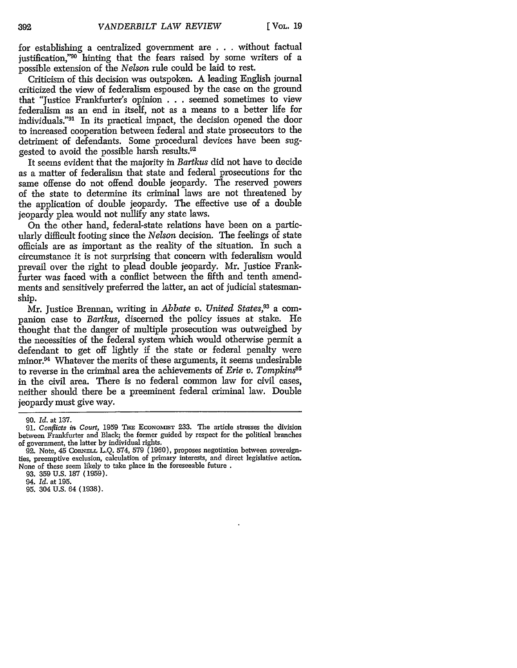for establishing a centralized government are . . . without factual justification,"<sup>90</sup> hinting that the fears raised by some writers of a possible extension of the *Nelson* rule could be laid to rest.

Criticism of this decision was outspoken. A leading English journal criticized the view of federalism espoused by the case on the ground that "Justice Franlfurter's opinion . . . seemed sometimes to view federalism as an end in itself, not as a means to a better life for individuals."91 In its practical impact, the decision opened the door to increased cooperation between federal and state prosecutors to the detriment of defendants. Some procedural devices have been suggested to avoid the possible harsh results.<sup>92</sup>

It seems evident that the majority in *Bartkus* did not have to decide as a matter of federalism that state and federal prosecutions for the same offense do not offend double jeopardy. The reserved powers of the state to determine its criminal laws are not threatened by the application of double jeopardy. The effective use of a double jeopardy plea would not nullify any state laws.

On the other hand, federal-state relations have been on a particularly difficult footing since the *Nelson* decision. The feelings of state officials are as important as the reality of the situation. In such a circumstance it is not surprising that concern with federalism would prevail over the right to plead double jeopardy. Mr. Justice Frankfurter was faced with a conflict between the fifth and tenth amendments and sensitively preferred the latter, an act of judicial statesmanship.

Mr. Justice Brennan, writing in *Abbate v. United States,93* a companion case to *Bartkus,* discerned the policy issues at stake. He thought that the danger of multiple prosecution was outweighed by the necessities of the federal system which would otherwise permit a defendant to get off lightly if the state or federal penalty were minor.<sup>94</sup> Whatever the merits of these arguments, it seems undesirable to reverse in the criminal area the achievements of *Erie v. Tompkins*<sup>95</sup> in the civil area. There is no federal common law for civil cases, neither should there be a preeminent federal criminal law. Double jeopardy must give way.

93. 359 U.S. 187 (1959).

94. *Id.* at 195.

<sup>90.</sup> *Id.* at 137.

**<sup>91.</sup>** *Conflicts in Court,* 1959 **THE ECONOMIST** 233. The article stresses the division between Frankfurter and Black; the former guided by respect for the political branches of government, the latter by individual rights.

<sup>92.</sup> Note, 45 **COaNELL** L.Q. 574, 579 (1960), proposes negotiation between sovereignties, preemptive exclusion, calculation of primary interests, and direct legislative action. None of these seem likely to take place in the foreseeable future **.**

<sup>95. 304</sup> U.S. 64 (1938).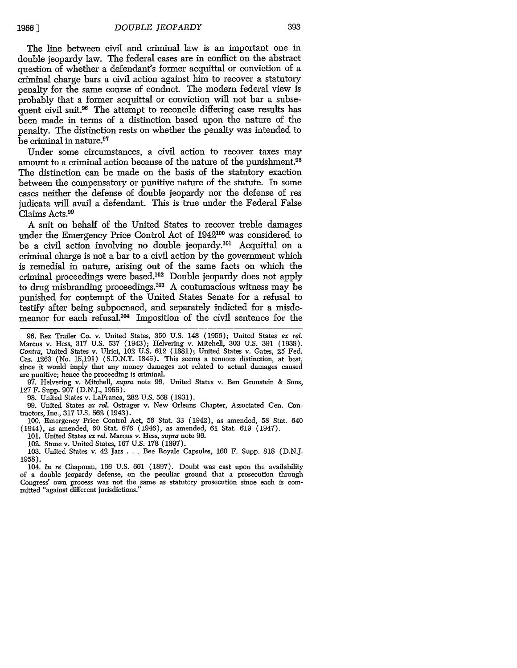The line between civil and criminal law is an important one in double jeopardy law. The federal cases are in conflict on the abstract question of whether a defendant's former acquittal or conviction of a criminal charge bars a civil action against him to recover a statutory penalty for the same course of conduct. The modem federal view is probably that a former acquittal or conviction will not bar a subsequent civil suit.96 The attempt to reconcile differing case results has been made in terms of a distinction based upon the nature of the penalty. The distinction rests on whether the penalty was intended to be criminal in nature.97

Under some circumstances, a civil action to recover taxes may amount to a criminal action because of the nature of the punishment.<sup>98</sup> The distinction can be made on the basis of the statutory exaction between the compensatory or punitive nature of the statute. In some cases neither the defense of double jeopardy nor the defense of res judicata will avail a defendant. This is true under the Federal False Claims Acts.<sup>99</sup>

A suit on behalf of the United States to recover treble damages under the Emergency Price Control Act of 1942100 was considered to be a civil action involving no double jeopardy.<sup>101</sup> Acquittal on a criminal charge is not a bar to a civil action by the government which is remedial in nature, arising out of the same facts on which the criminal proceedings were based.<sup>102</sup> Double jeopardy does not apply to drug misbranding proceedings.<sup>103</sup> A contumacious witness may be punished for contempt of the United States Senate for a refusal to testify after being subpoenaed, and separately indicted for a misdemeanor for each refusal.<sup>104</sup> Imposition of the civil sentence for the

97. Helvering v. Mitchell, *supra* note 96. United States v. Ben Grunstein & Sons, 127 F. Supp. 907 (D.N.J., 1955).

98. United States v. LaFranca, 282 U.S. 568 (1931).

99. United States *ex rel.* Ostrager v. New Orleans Chapter, Associated Gen. Contractors, Inc., 317 U.S. 562 (1943).

100. Emergency Price Control Act, 56 Stat. 33 (1942), as amended, 58 Stat. 640 (1944), as amended, 60 Stat. 676 (1946), as amended, 61 Stat. 619 (1947).

101. United States *ex rel.* Marcus v. Hess, *supra* note 96.

102. Stone v. United States, 167 U.S. 178 (1897).

103. United States v. 42 Jars . . . Bee Royale Capsules, 160 F. Supp. 818 (D.N.J. 1958).

104. *In re* Chapman, 166 U.S. 661 (1897). Doubt was cast upon the availability of a double jeopardy defense, on the peculiar ground that a prosecution through Congress' own process was not the same as statutory prosecution since each is committed "against different jurisdictions."

<sup>96.</sup> Rex Trailer Co. v. United States, 350 U.S. 148 (1956); United States *ex rel.* Marcus v. Hess, 317 U.S. 537 (1943); Helvering v. Mitchell, 303 U.S. 391 (1938). *Contra,* United States v. Ulrici, 102 U.S. **612** (1881); United States v. Gates, 25 Fed. Cas. 1263 (No. 15,191) (S.D.N.Y. 1845). This seems a tenuous distinction, at best, since it would imply that any money damages not related to actual damages caused are punitive; hence the proceeding is criminal.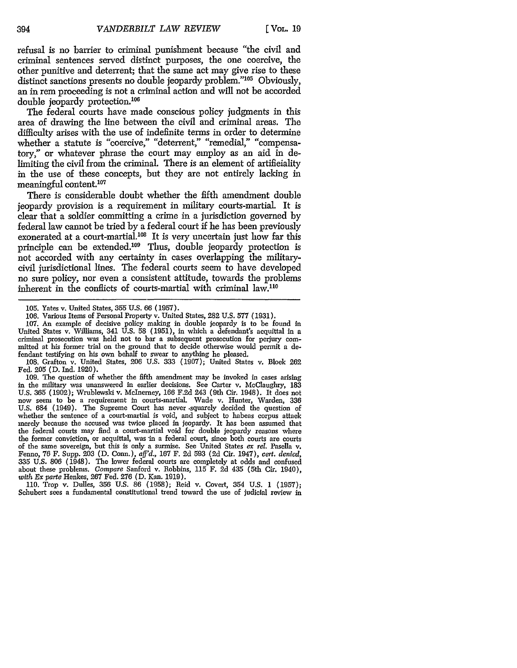refusal is no barrier to criminal punishment because *"the* civil and criminal sentences served distinct purposes, the one coercive, the other punitive and deterrent; that the same act may give rise to these distinct sanctions presents no double jeopardy problem."<sup>105</sup> Obviously, an in rem proceeding is not a criminal action and will not be accorded double jeopardy protection.<sup>106</sup>

The federal courts have made conscious policy judgments in this area of drawing the line between the civil and criminal areas. The difficulty arises with the use of indefinite terms in order to determine whether a statute is "coercive," "deterrent," "remedial," "compensatory," or whatever phrase the court may employ as an aid in delimiting the civil from the criminal. There is an element of artificiality in the use of these concepts, but they are not entirely lacking in meaningful content.<sup>107</sup>

There is considerable doubt whether the fifth amendment double jeopardy provision is a requirement in military courts-martial. It is clear that a soldier committing a crime in a jurisdiction governed by federal law cannot be tried by a federal court if he has been previously exonerated at a court-martial.<sup>108</sup> It is very uncertain just how far this principle can be extended.<sup>109</sup> Thus, double jeopardy protection is not accorded with any certainty in cases overlapping the militarycivil jurisdictional lines. The federal courts seem to have developed no sure policy, nor even a consistent attitude, towards the problems inherent in the conflicts of courts-martial with criminal  $law^{110}$ .

107. An example of decisive policy making in double jeopardy is to be found in United States v. Williams, 341 U.S. 58 (1951), in which a defendant's acquittal in a criminal prosecution was held not to bar a subsequent prosecution for perjury committed at his former trial on the ground that to decide otherwise would permit a defendant testifying on his own behalf to swear to anything he pleased.

108. Grafton v. United States, 206 U.S. 333 (1907); United States v. Block 262 Fed. 205 (D. Ind. 1920).

109. The question of whether the fifth amendment may be invoked in cases arising in the military was unanswered in earlier decisions. See Carter v. McClaughry, 183 U.S. 365 (1902); Wrublewski v. McInerney, 166 F.2d 243 (9th Cir. 1948). It does not now seem to be a requirement in courts-martial. Wade v. Hunter, Warden, **336** U.S. 684 (1949). The Supreme Court has never .squarely decided the question of whether the sentence of a court-martial is void, and subject to habeas corpus attack merely because the accused was twice placed in jeopardy. It has been assumed that the federal courts may find a court-martial void for double jeopardy reasons where the former conviction, or acquittal, was in a federal court, since both courts are courts of the same sovereign, but this is only a surmise. See United States *ex rel.* Pasella v. Fenno, 76 F. Supp. 203 (D. Conn.), *aff'd.,* 167 F. 2d 593 (2d Cir. 1947), *cert. denied,* 335 U.S. 806 (1948). The lower federal courts are completely at odds and confused about these problems. *Compare* Sanford v. Robbins, 115 F. 2d 435 (5th Cir. 1940), *with Ex parte* Henkes, 267 Fed. 276 (D. Kan. 1919).

110. Trop v. Dulles, 356 U.S. 86 (1958); Reid v. Covert, 354 U.S. 1 (1957); Schubert sees a fundamental constitutional trend toward the use of judicial review in

<sup>105.</sup> Yates v. United States, **355** U.S. 66 (1957).

<sup>106.</sup> Various Items of Personal Property v. United States, 282 U.S. 577 (1931).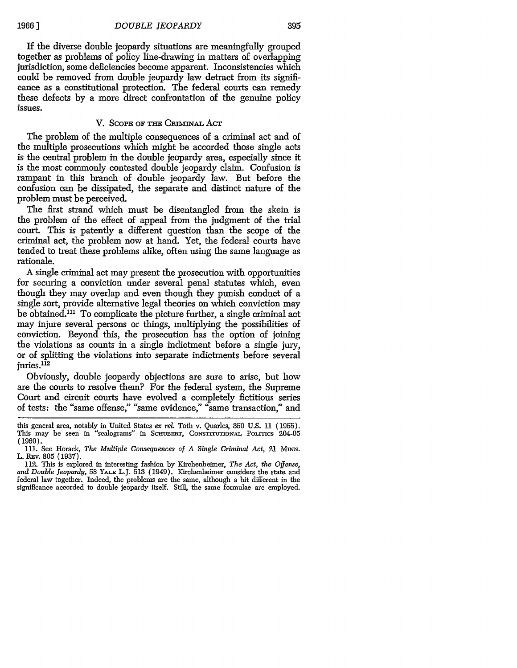395

If the diverse double jeopardy situations are meaningfully grouped together as problems of policy line-drawing in matters of overlapping jurisdiction, some deficiencies become apparent. Inconsistencies which could be removed from double jeopardy law detract from its significance as a constitutional protection. The federal courts can remedy these defects by a more direct confrontation of the genuine policy issues.

#### V. **ScopE** oF **THE CRnMNAL** Aer

The problem of the multiple consequences of a criminal act and of the multiple prosecutions which might be accorded those single acts is the central problem in the double jeopardy area, especially since it is the most commonly contested double jeopardy claim. Confusion is rampant in this branch of double jeopardy law. But before the confusion can be dissipated, the separate and distinct nature of the problem must be perceived.

The first strand which must be disentangled from the skein is the problem of the effect of appeal from the judgment of the trial court. This is patently a different question than the scope of the criminal act, the problem now at hand. Yet, the federal courts have tended to treat these problems alike, often using the same language as rationale.

A single criminal act may present the prosecution with opportunities for securing a conviction under several penal statutes which, even though they may overlap and even though they punish conduct of a single sort, provide alternative legal theories on which conviction may be obtained.<sup>111</sup> To complicate the picture further, a single criminal act may injure several persons or things, multiplying the possibilities of conviction. Beyond this, the prosecution has the option of joining the violations as counts in a single indictment before a single jury, or of splitting the violations into separate indictments before several juries.<sup>112</sup>

Obviously, double jeopardy objections are sure to arise, but how are the courts to resolve them? For the federal system, the Supreme Court and circuit courts have evolved a completely fictitious series of tests: the "same offense," "same evidence," "same transaction," and

this general area, notably in United States *ex rel.* Toth v. Quarles, 350 **U.S.** 11 (1955). This may be seen in "scalograms" in SCHUBERT, CONSTITUTIONAL POLITICS 204-05 (1960).

<sup>111.</sup> See Horack, *The Multiple Consequences of A Single Criminal Act,* 21 MiNN. L. REv. 805 (1937).

<sup>112.</sup> This is explored in interesting fashion by Kirchenheimer, *The Act, the Offense, and Double Jeopardy,* 58 YALE L.J. 513 (1949). Kirchenheimer considers the state and federal law together. Indeed, the problems are the same, although a bit different in the significance accorded to double jeopardy itself. Still, the same formulae are employed.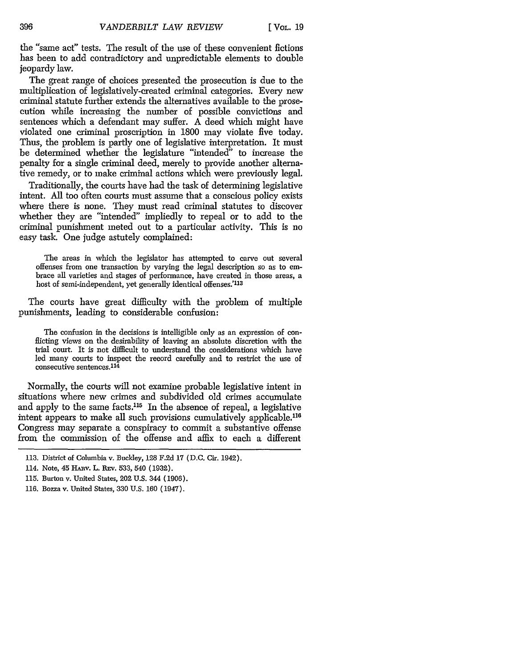the "same act" tests. The result of the use of these convenient fictions has been to add contradictory and unpredictable elements to double jeopardy law.

The great range of choices presented the prosecution is due to the multiplication of legislatively-created criminal categories. Every new criminal statute further extends the alternatives available to the prosecution while increasing the number of possible convictions and sentences which a defendant may suffer.  $\tilde{A}$  deed which might have violated one criminal proscription in 1800 may violate five today. Thus, the problem is partly one of legislative interpretation. It must be determined whether the legislature "intended" to increase the penalty for a single criminal deed, merely to provide another alternative remedy, or to make criminal actions which were previously legal.

Traditionally, the courts have had the task of determining legislative intent. **All** too often courts must assume that a conscious policy exists where there is none. They must read criminal statutes to discover whether they are "intended" impliedly to repeal or to add to the criminal punishment meted out to a particular activity. This is no easy task. One judge astutely complained:

The areas in which the legislator has attempted to carve out several offenses from one transaction by varying the legal description so as to embrace all varieties and stages of performance, have created in those areas, a host of semi-independent, yet generally identical offenses.'113

The courts have great difficulty with the problem of multiple punishments, leading to considerable confusion:

The confusion in the decisions is intelligible only as an expression of conflicting views on the desirability of leaving an absolute discretion with the trial court. It is not difficult to understand the considerations which have led many courts to inspect the record carefully and to restrict the use of consecutive sentences.<sup>114</sup>

Normally, the courts will not examine probable legislative intent in situations where new crimes and subdivided old crimes accumulate and apply to the same facts.<sup>115</sup> In the absence of repeal, a legislative intent appears to make all such provisions cumulatively applicable.<sup>116</sup> Congress may separate a conspiracy to commit a substantive offense from the commission of the offense and affix to each a different

<sup>113.</sup> District of Columbia v. Buckley, 128 F.2d 17 (D.C. Cir. 1942).

<sup>114.</sup> Note, 45 Hnv. L. **1Ev.** 533, 540 (1932).

<sup>115.</sup> Burton v. United States, 202 U.S. 344 (1906).

<sup>116.</sup> Bozza v. United States, 330 U.S. 160 (1947).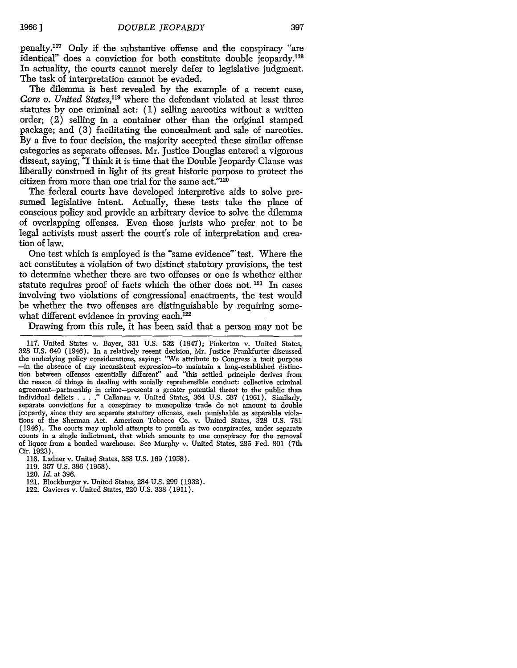penalty.<sup>117</sup> Only if the substantive offense and the conspiracy "are identical" does a conviction for both constitute double jeopardy.<sup>118</sup> In actuality, the courts cannot merely defer to legislative judgment. The task of interpretation cannot be evaded.

The dilemma is best revealed by the example of a recent case, *Gore v. United States*,<sup>119</sup> where the defendant violated at least three statutes by one criminal act: (1) selling narcotics without a written order; (2) selling in a container other than the original stamped package; and (3) facilitating the concealment and sale of narcotics. By a five to four decision, the majority accepted these similar offense categories as separate offenses. Mr. Justice Douglas entered a vigorous dissent, saying, "I think it is time that the Double Jeopardy Clause was liberally construed in light of its great historic purpose to protect the citizen from more than one trial for the same act."120

The federal courts have developed interpretive aids to solve presumed legislative intent. Actually, these tests take the place of conscious policy and provide an arbitrary device to solve the dilemma of overlapping offenses. Even those jurists who prefer not to be legal activists must assert the court's role of interpretation and creation of law.

One test which is employed is the "same evidence"'test. Where the act constitutes a violation of two distinct statutory provisions, the test to determine whether there are two offenses or one is whether either statute requires proof of facts which the other does not. **121** In cases involving two violations of congressional enactments, the test would be whether the two offenses are distinguishable by requiring somewhat different evidence in proving each.<sup>122</sup>

Drawing from this rule, it has been said that a person may not be

<sup>117.</sup> United States v. Bayer, 331 U.S. 532 (1947); Pinkerton v. United States, 328 U.S. 640 (1946). In a relatively recent decision, Mr. Justice Frankfurter discussed the underlying policy considerations, saying: "We attribute to Congress a tacit purpose -in the absence of any inconsistent expression-to maintain a long-established distinction between offenses essentially different" and "this settled principle derives from the reason of things in dealing with socially reprehensible conduct: collective criminal agreement-partnership in crime-presents a greater potential threat to the public than individual delicts **......** Callanan v. United States, 364 U.S. 587 (1961). Similarly, separate convictions for a conspiracy to monopolize trade do not amount to double jeopardy, since they are separate statutory offenses, each punishable as separable violations of the Sherman Act. American Tobacco Co. v. United States, 328 U.S. 781 (1946). The courts may uphold attempts to punish as two conspiracies, under separate counts in a single indictment, that which amounts to one conspiracy for the removal of liquor from a bonded warehouse. See Murphy v. United States, 285 Fed. 801 (7th Cir. 1923).

<sup>118.</sup> Ladner v. United States, 358 U.S. 169 (1958).

<sup>119. 357</sup> U.S. 386 (1958).

<sup>120.</sup> *Id.* at 396.

<sup>121.</sup> Blockburger v. United States, 284 U.S. 299 (1932).

<sup>122.</sup> Gavieres v. United States, 220 U.S. 338 (1911).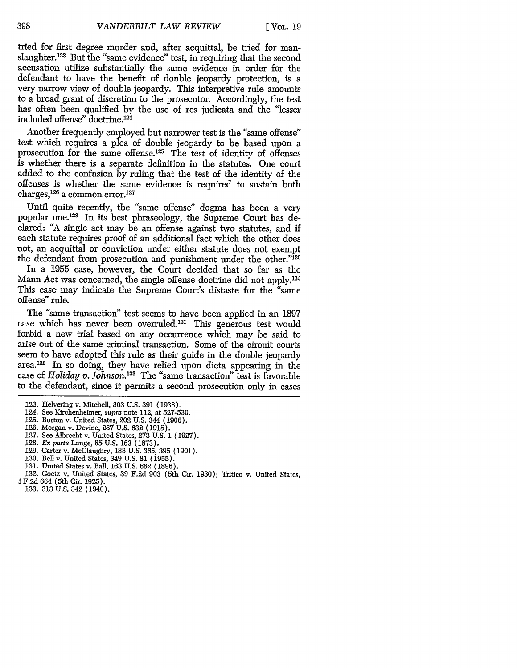tried for first degree murder and, after acquittal, be tried for manslaughter.<sup>123</sup> But the "same evidence" test, in requiring that the second accusation utilize substantially the same evidence in order for the defendant to have the benefit of double jeopardy protection, is a very narrow view of double jeopardy. This interpretive rule amounts to a broad grant of discretion to the prosecutor. Accordingly, the test has often been qualified by the use of res judicata and the "lesser included offense" doctrine.<sup>124</sup>

Another frequently employed but narrower test is the "same offense" test which requires a plea of double jeopardy to be based upon a prosecution for the same offense.<sup>125</sup> The test of identity of offenses is whether there is a separate definition in the statutes. One court added to the confusion by ruling that the test of the identity of the offenses is whether the same evidence is required to sustain both charges, $126$  a common error.  $127$ 

Until quite recently, the "same offense" dogma has been a very popular one.128 In its best phraseology, the Supreme Court has declared: "A single act may be an offense against two statutes, and **if** each statute requires proof of an additional fact which the other does not, an acquittal or conviction under either statute does not exempt the defendant from prosecution and punishment under the other."<sup>120</sup>

In a 1955 case, however, the Court decided that so far as the Mann Act was concerned, the single offense doctrine did not apply.<sup>130</sup> This case may indicate the Supreme Court's distaste for the "same offense" rule.

The "same transaction" test seems to have been applied in an 1897 case which has never been overruled.<sup>131</sup> This generous test would forbid a new trial based on any occurrence which may be said to arise out of the same criminal transaction. Some of the circuit courts seem to have adopted this rule as their guide in the double jeopardy area.132 In so doing, they have relied upon dicta appearing in the case of *Holiday v. Johnson.*<sup>133</sup> The "same transaction" test is favorable to the defendant, since it permits a second prosecution only in cases

- 126. Morgan v. Devine, 237 U.S. 632 (1915).
- 127. See Albrecht v. United States, 273 U.S. 1 (1927).
- 128. Ex parte Lange, 85 U.S. 163 (1873).
- 129. Carter v. McClaughry, 183 U.S. 365, 395 (1901).
- 130. Bell v. United States, 349 U.S. 81 (1955).
- 131. United States v. Ball, 163 U.S. 662 (1896).
- 132. Goetz v. United States, 39 F.2d 903 (5th Cir. 1930); Tritico v. United States,
- 4 F.2d 664 (5th Cir. 1925).
- 133. 313 U.S. 342 (1940).

<sup>123.</sup> Helvering v. Mitchell, 303 U.S. 391 (1938).

<sup>124.</sup> See Kirchenheimer, supra note 112, at 527-530.

<sup>125.</sup> Burton v. United States, 202 U.S. 344 (1906).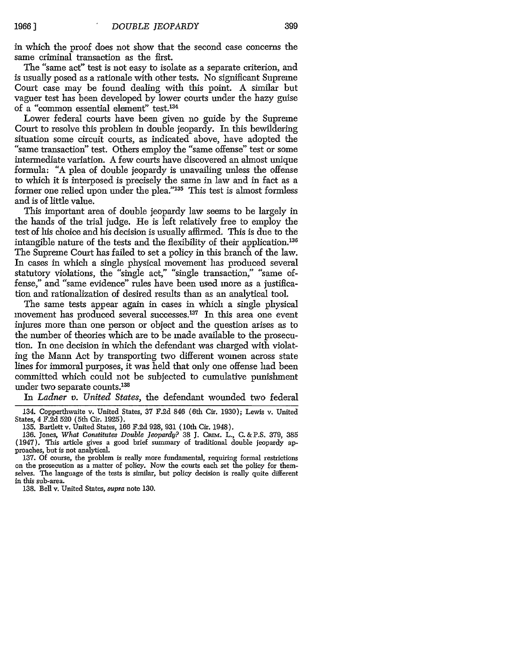*1.966 ]*

in which the proof does not show that the second case concerns the same criminal transaction as the first.

The "same act" test is not easy to isolate as a separate criterion, and is usually posed as a rationale with other tests. No significant Supreme Court case may be found dealing with this point. A similar but vaguer test has been developed by lower courts under the hazy guise of a "common essential element" test.<sup>134</sup>

Lower federal courts have been given no guide by the Supreme Court to resolve this problem in double jeopardy. In this bewildering situation some circuit courts, as indicated above, have adopted the "same transaction" test. Others employ the "same offense" test or some intermediate variation. A few courts have discovered an almost unique formula: "A plea of double jeopardy is unavailing unless the offense to which it is interposed is precisely the same in law and in fact as a former one relied upon under the plea."135 This test is almost formless and is of little value.

This important area of double jeopardy law seems to be largely in the hands of the trial judge. He is left relatively free to employ the test of his choice and his decision is usually affirmed. This is due to the intangible nature of the tests and the flexibility of their application.<sup>136</sup> The Supreme Court has failed to set a policy in this branch of the law. In cases in which a single physical movement has produced several statutory violations, the "single act," "single transaction," "same offense," and "same evidence" rules have been used more as a justification and rationalization of desired results than as an analytical tool.

The same tests appear again in cases in which a single physical movement has produced several successes.<sup>137</sup> In this area one event injures more than one person or object and the question arises as to the number of theories which are to be made available to the prosecution. In one decision in which the defendant was charged with violating the Mann Act by transporting two different women across state lines for immoral purposes, it was held that only one offense had been committed which could not be subjected to cumulative punishment under two separate counts.<sup>138</sup>

In *Ladner v. United States,* the defendant wounded two federal

134. Copperthwaite v. United States, 37 F.2d 846 (6th Cir. 1930); Lewis v. United States, 4 F.2d 520 (5th Cir. 1925).

137. Of course, the problem is really more fundamental, requiring formal restrictions on the prosecution as a matter of policy. Now the courts each set the policy for themselves. The language of the tests is similar, but policy decision is really quite different in this sub-area.

138. Bell v. United States, *supra* note 130.

<sup>135.</sup> Bartlett v. United States, 166 F.2d 928, 931 (10th Cir. 1948).

<sup>136.</sup> Jones, What Constitutes Double Jeopardy? 38 J. CRIM. L., C. & P.S. 379, 385 (1947). This article gives a good brief summary of traditional double jeopardy approaches, but is not analytical.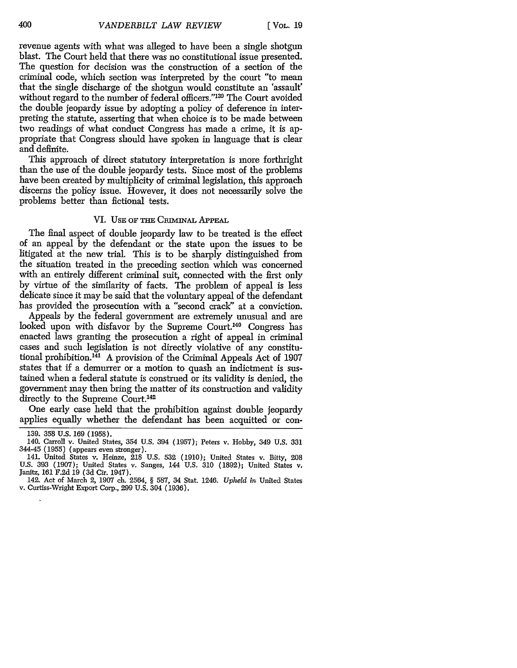revenue agents with what was alleged to have been a single shotgun blast. The Court held that there was no constitutional issue presented. The question for decision was the construction of a section of the criminal code, which section was interpreted by the court "to mean that the single discharge of the shotgun would constitute an 'assault' without regard to the number of federal officers."<sup>139</sup> The Court avoided the double jeopardy issue by adopting a policy of deference in interpreting the statute, asserting that when choice is to be made between two readings of what conduct Congress has made a crime, it is ap-<br>propriate that Congress should have spoken in language that is clear and definite.

This approach of direct statutory interpretation is more forthright than the use of the double jeopardy tests. Since most of the problems have been created by multiplicity of criminal legislation, this approach discerns the policy issue. However, it does not necessarily solve the problems better than fictional tests.

#### VI. USE OF THE CRIMINAL APPEAL

The final aspect of double jeopardy law to be treated is the effect of an appeal by the defendant or the state upon the issues to be litigated at the new trial. This is to be sharply distinguished from the situation treated in the preceding section which was concerned with an entirely different criminal suit, connected with the first only by virtue of the similarity of facts. The problem of appeal is less delicate since it may be said that the voluntary appeal of the defendant has provided the prosecution with a "second crack" at a conviction.

Appeals by the federal government are extremely unusual and are looked upon with disfavor by the Supreme Court.<sup>140</sup> Congress has enacted laws granting the prosecution a right of appeal in criminal cases and such legislation is not directly violative of any constitutional prohibition. 141 A provision of the Criminal Appeals Act of 1907 states that if a demurrer or a motion to quash an indictment is sustained when a federal statute is construed or its validity is denied, the government may then bring the matter of its construction and validity directly to the Supreme Court.<sup>142</sup>

One early case held that the prohibition against double jeopardy applies equally whether the defendant has been acquitted or con-

<sup>139. 358</sup> U.S. 169 (1958).

<sup>140.</sup> Carroll v. United States, 354 U.S. 394 (1957); Peters v. Hobby, 349 U.S. 331 344-45 (1955) (appears even stronger).

<sup>141.</sup> United States v. Heinze, 218 **U.S.** 532 (1910); United States v. Bitty, 208 U.S. 393 (1907); United States v. Sanges, 144 U.S. 310 (1892); United States v. Janitz, 161 F.2d 19 (3d Cir. 1947).

<sup>142.</sup> Act of March *2,* 1907 ch. 2564, § 587, 34 Stat. 1246. *Upheld in* United States v. Curtiss-Wright Export Corp., 299 U.S. 304 (1936).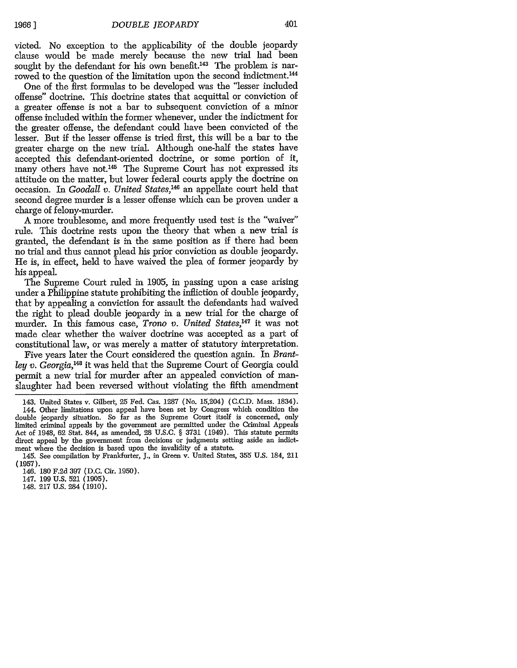victed. No exception to the applicability of the double jeopardy clause would be made merely because the new trial had been sought by the defendant for his own benefit.<sup>143</sup> The problem is narrowed to the question of the limitation upon the second indictment.<sup>144</sup>

One of the first formulas to be developed was the "lesser included offense" doctrine. This doctrine states that acquittal or conviction of a greater offense is not a bar to subsequent conviction of a minor offense included within the former whenever, under the indictment for the greater offense, the defendant could have been convicted of the lesser. But if the lesser offense is tried first, this will be a bar to the greater charge on the new trial. Although one-half the states have accepted this defendant-oriented doctrine, or some portion of it, many others have not.<sup>145</sup> The Supreme Court has not expressed its attitude on the matter, but lower federal courts apply the doctrine on occasion. In *Goodall v. United States,'4* an appellate court held that second degree murder is a lesser offense which can be proven under a charge of felony-murder.

A more troublesome, and more frequently used test is the "waiver" rule. This doctrine rests upon the theory that when a new trial is granted, the defendant is in the same position as if there had been no trial and thus cannot plead his prior conviction as double jeopardy. He is, in effect, held to have waived the plea of former jeopardy by his appeal.

The Supreme Court ruled in 1905, in passing upon a case arising under a Philippine statute prohibiting the infliction of double jeopardy, that by appealing a conviction for assault the defendants had waived the right to plead double jeopardy in a new trial for the charge of murder. In this famous case, *Trono v. United States*,<sup>147</sup> it was not made clear whether the waiver doctrine was accepted as a part of constitutional law, or was merely a matter of statutory interpretation.

Five years later the Court considered the question again. In *Brant*ley v. Georgia,<sup>148</sup> it was held that the Supreme Court of Georgia could permit a new trial for murder after an appealed conviction of manslaughter had been reversed without violating the fifth amendment

144. Other limitations upon appeal have been set by Congress which condition the double jeopardy situation. So far as the Supreme Court itself is concerned, only limited criminal appeals by the government are permitted under the Criminal Appeals Act of 1948, 62 Stat. 844, as amended, 28 U.S.C. § 3731 (1949). This statute permits direct appeal by the government from decisions or judgments setting aside an indictment where the decision is based upon the invalidity of a statute.

<sup>143.</sup> United States v. Gilbert, 25 Fed. Cas. 1287 (No. 15,204) (C.C.D. Mass. 1834).

<sup>145.</sup> See compilation by Frankfurter, J., in Green v. United States, 355 U.S. 184, 211 (1957).

<sup>146. 180</sup> F.2d 397 (D.C. Cir. 1950).

<sup>147. 199</sup> U.S. **521** (1905).

<sup>148.</sup> **217** U.S. 284 (1910).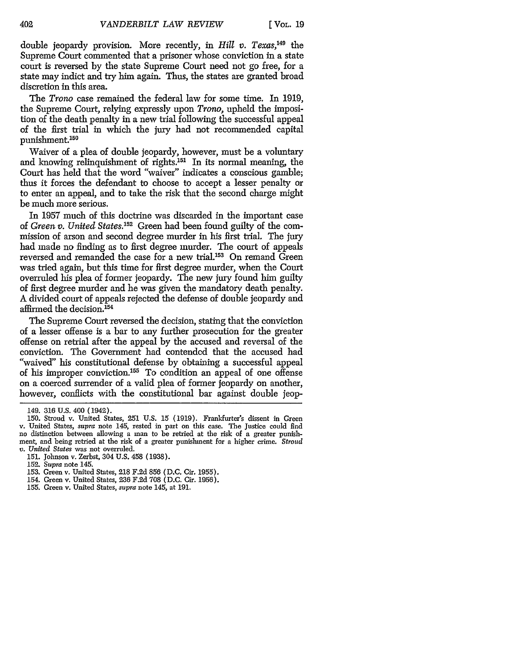double jeopardy provision. More recently, in *Hill v. Texas*,<sup>149</sup> the Supreme Court commented that a prisoner whose conviction in a state court is reversed by the state Supreme Court need not go free, for a state may indict and try him again. Thus, the states are granted broad discretion in this area.

The *Trono* case remained the federal law for some time. In 1919, the Supreme Court, relying expressly upon *Trono,* upheld the imposition of the death penalty in a new trial following the successful appeal of the first trial in which the jury had not recommended capital punishment.150

Waiver of a plea of double jeopardy, however, must be a voluntary and knowing relinquishment of rights.<sup>151</sup> In its normal meaning, the Court has held that the word "waiver" indicates a conscious gamble; thus it forces the defendant to choose to accept a lesser penalty or to enter an appeal, and to take the risk that the second charge might be much more serious.

In 1957 much of this doctrine was discarded in the important case of *Green v. United States.152* Green had been found guilty of the commission of arson and second degree murder in his first trial. The jury had made no finding as to first degree murder. The court of appeals reversed and remanded the case for a new trial.153 On remand Green was tried again, but this time for first degree murder, when the Court overruled his plea of former jeopardy. The new jury found him guilty of first degree murder and he was given the mandatory death penalty. A divided court of appeals rejected the defense of double jeopardy and affirmed the decision.<sup>154</sup>

The Supreme Court reversed the decision, stating that the conviction of a lesser offense is a bar to any further prosecution for the greater offense on retrial after the appeal by the accused and reversal of the "waived" his constitutional defense by obtaining a successful appeal of his improper conviction.<sup>155</sup> To condition an appeal of one offense on a coerced surrender of a valid plea of former jeopardy on another, however, conflicts with the constitutional bar against double jeop-

- 153. Green v. United States, 218 F.2d 856 (D.C. Cir. 1955).
- 154. Green v. United States, 236 F.2d 708 (D.C. Cir. 1956).
- 155. Green v. United States, *supra* note 145, at 191.

<sup>149. 316</sup> U.S. 400 (1942).<br>150. Stroud v. United States, 251 U.S. 15 (1919). Frankfurter's dissent in Green v. United States, *supra* note 145, rested in part on this case. The Justice could find no distinction between allowing a man to be retried at the risk of a greater punishment, and being retried at the risk of a greater punishment for a higher crime. *Stroud* v. *United States* was not overruled.

<sup>151.</sup> Johnson v. Zerbst, 304 U.S. 458 (1938).

<sup>152.</sup> *Supra* note 145.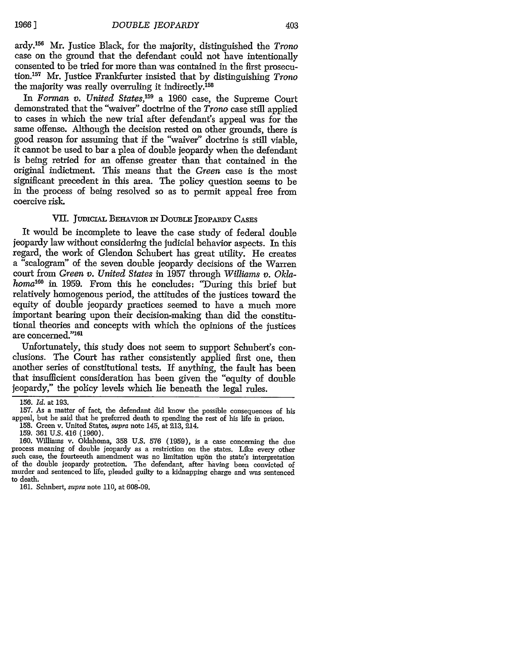ardy.<sup>156</sup> Mr. Justice Black, for the majority, distinguished the *Trono* case on the ground that the defendant could not have intentionally tion.<sup>157</sup> Mr. Justice Frankfurter insisted that by distinguishing *Trono* the majority was really overruling it indirectly.<sup>158</sup>

In Forman v. United States,<sup>159</sup> a 1960 case, the Supreme Court demonstrated that the "waiver" doctrine of the *Trono* case still applied to cases in which the new trial after defendant's appeal was for the same offense. Although the decision rested on other grounds, there is good reason for assuming that if the "waiver" doctrine is still viable, it cannot be used to bar a plea of double jeopardy when the defendant is being retried for an offense greater than that contained in the original indictment. This means that the *Green* case is the most significant precedent in this area. The policy question seems to be in the process of being resolved so as to permit appeal free from coercive risk.

#### VII. JUDICIAL BEHAVIOR IN DOUBLE JEOPARDY CASES

It would be incomplete to leave the case study of federal double jeopardy law without considering the judicial behavior aspects. In this regard, the work of Glendon Schubert has great utility. He creates a "scalogram" of the seven double jeopardy decisions of the Warren court from *Green v. United States* in 1957 through *Williams v. Oklahoma*<sup>160</sup> in 1959. From this he concludes: "During this brief but relatively homogenous period, the attitudes of the justices toward the equity of double jeopardy practices seemed to have a much more important bearing upon their decision-making than did the constitutional theories and concepts with which the opinions of the justices are concerned."161

Unfortunately, this study does not seem to support Schubert's conclusions. The Court has rather consistently applied first one, then another series of constitutional tests. If anything, the fault has been that insufficient consideration has been given the "equity of double jeopardy," the policy levels which lie beneath the legal rules.

**159. 361 U.S.** 416 (1960).

161. Schubert, supra note 110, at 608-09.

<sup>156.</sup> *Id.* at 193.

<sup>157.</sup> As a matter of fact, the defendant did know the possible consequences of his appeal, but he said that he preferred death to spending the rest of his life in prison.

<sup>158.</sup> Green v. United States, supra note 145, at 213, 214.

<sup>160.</sup> Williams v. Oklahoma, 358 U.S. 576 (1959), is a case concerning the due process meaning of double jeopardy as a restriction on the states. Like every other such case, the fourteeuth amendment was no limitation upon the state's interpretation of the double jeopardy protection. The defendant, after having been convicted of murder and sentenced to life, pleaded guilty to a kidnapping charge and was sentenced to death.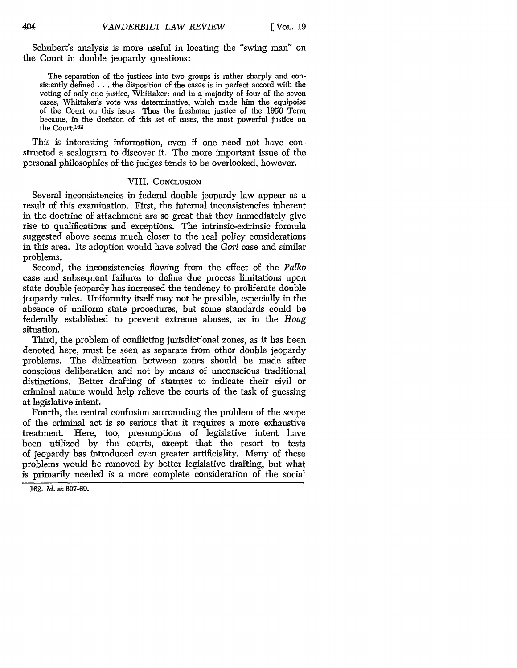Schubert's analysis is more useful in locating the "swing man" on the Court in double jeopardy questions:

The separation of the justices into two groups is rather sharply and consistently defined.., the disposition of the cases is in perfect accord with the voting of only one justice, Whittaker: and in a majority of four of the seven cases, Whittaker's vote was determinative, which made him the equipoise of the Court on this issue. Thus the freshman justice of the 1956 Term became, in the decision of this set of cases, the most powerful justice on the Court.162

This is interesting information, even if one need not have constructed a scalogram to discover it. The more important issue of the personal philosophies of the judges tends to be overlooked, however.

#### VIII. **CONCLUSION**

Several inconsistencies in federal double jeopardy law appear as a result of this examination. First, the internal inconsistencies inherent in the doctrine of attachment are so great that they immediately give rise to qualifications and exceptions. The intrinsic-extrinsic formula suggested above seems much closer to the real policy considerations in this area. Its adoption would have solved the *Gori* case and similar problems.

Second, the inconsistencies flowing from the effect of the *Palko* case and subsequent failures to define due process limitations upon state double jeopardy has increased the tendency to proliferate double jeopardy rules. Uniformity itself may not be possible, especially in the absence of uniform state procedures, but some standards could be federally established to prevent extreme abuses, as in the *Hoag* situation.

Third, the problem of conflicting jurisdictional zones, as it has been denoted here, must be seen as separate from other double jeopardy problems. The delineation between zones should be made after conscious deliberation and not by means of unconscious traditional distinctions. Better drafting of statutes to indicate their civil or criminal nature would help relieve the courts of the task of guessing at legislative intent.

Fourth, the central confusion surrounding the problem of the scope of the criminal act is so serious that it requires a more exhaustive treatment. Here, too, presumptions of legislative intent have been utilized by the courts, except that the resort to tests of jeopardy has introduced even greater artificiality. Many of these problems would be removed by better legislative drafting, but what is primarily needed is a more complete consideration of the social

**<sup>162.</sup>** *Id.* at 607-69.